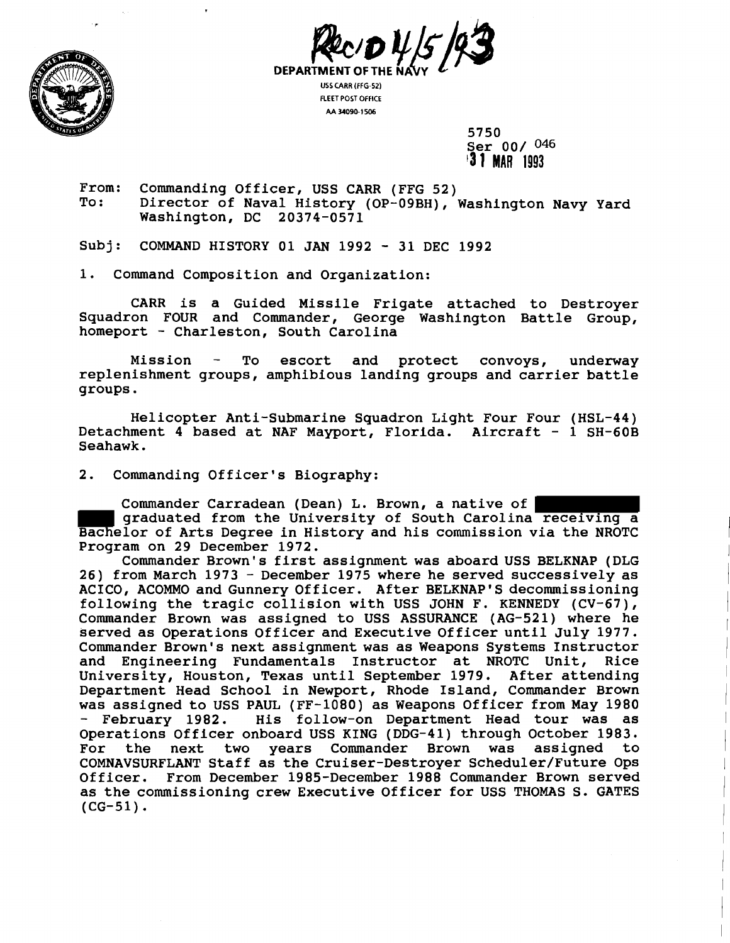



**USS CARR (FFG-52) FLEET POST OFFICE AA 34090-1 506** 

> 5750 Ser 00/ **046 '3 1 MAR <sup>1993</sup>**

From: Commanding Officer, USS CARR (FFG 52)<br>To: Director of Naval History (OP-09BH). Director of Naval History (OP-09BH), Washington Navy Yard Washington, DC 20374-0571

Subj: COMMAND HISTORY 01 JAN 1992 - 31 DEC 1992

1. Command Composition and Organization:

CARR is a Guided Missile Frigate attached to Destroyer Squadron FOUR and Commander, George Washington Battle Group, homeport - Charleston, South Carolina

Mission - To escort and protect convoys, underway replenishment groups, amphibious landing groups and carrier battle groups.

Helicopter Anti-Submarine Squadron Light Four Four (HSL-44) Detachment 4 based at NAF Mayport, Florida. Aircraft - 1 SH-60B Seahawk.

2. Commanding Officer's Biography:

Commander Carradean (Dean) **L,** Brown, a native of graduated from the University of South Carolina receiving a Bachelor of Arts Degree in History and his commission via the NROTC Program on 29 December 1972.

Commander Brown's first assignment was aboard USS BELKNAP (DLG <sup>26</sup>) from March 1973 - December 1975 where he served successively as ACICO, ACOMMO and Gunnery Officer. After BELKNAP'S decommissioning following the tragic collision with USS JOHN F. KENNEDY (CV-67), Commander Brown was assigned to USS ASSURANCE (AG-521) where he served as Operations Officer and Executive Officer until July 1977. Commander Brown's next assignment was as Weapons Systems Instructor and Engineering Fundamentals Instructor at NROTC Unit, Rice University, Houston, Texas until September 1979. After attending Department Head School in Newport, Rhode Island, Commander Brown was assigned to USS PAUL (FF-1080) as Weapons Officer from May 1980<br>- February 1982. His follow-on Department Head tour was as His follow-on Department Head tour was as Operations Officer onboard USS KING (DDG-41) through October 1983.<br>For the next two years Commander Brown was assigned to For the next two years Commander Brown was COMNAVSURFLANT Staff as the Cruiser-Destroyer Scheduler/Future Ops Officer. From December 1985-December 1988 Commander Brown served as the commissioning crew Executive Officer for USS THOMAS S. GATES  $(CG-51)$ .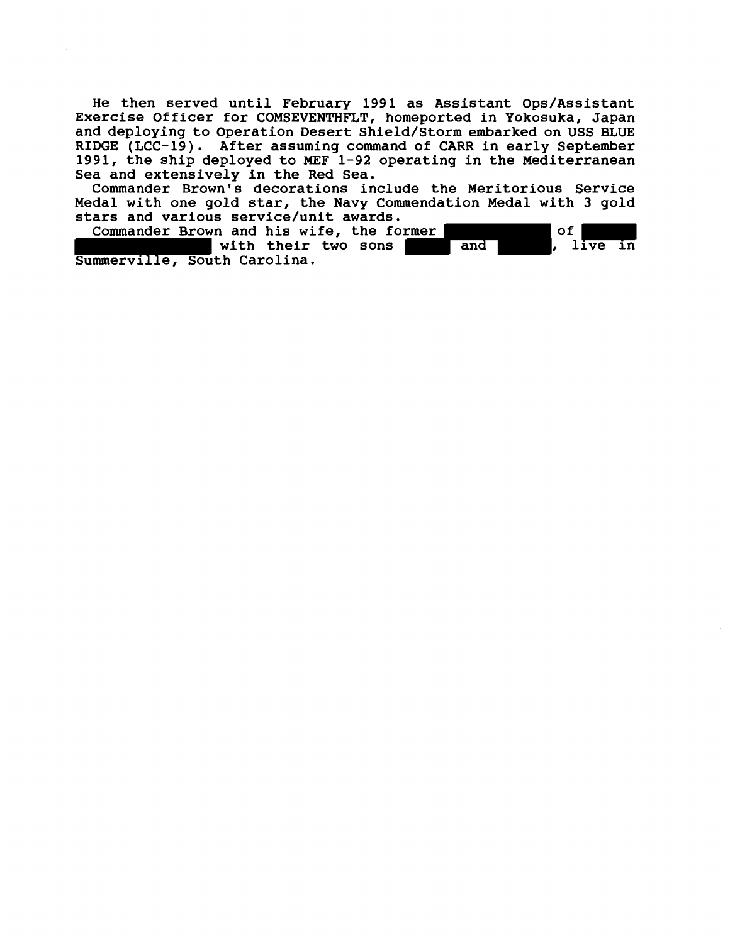He then served until February 1991 as Assistant Ops/Assistant Exercise Officer for COMSEVENTHFLT, homeported in Yokosuka, Japan and deploying to Operation Desert Shield/Storm embarked on USS BLUE RIDGE (LCC-19). After assuming command of CARR in early September 1991, the ship deployed to MEF 1-92 operating in the Mediterranean Sea and extensively in the Red Sea.

Commander Brown's decorations include the Meritorious Service Medal with one gold star, the Navy Commendation Medal with 3 gold stars and various service/unit awards.

Commander Brown and his wife, the former<br>and the with their two sons the and the live in with their two sons Summerville, South Carolina.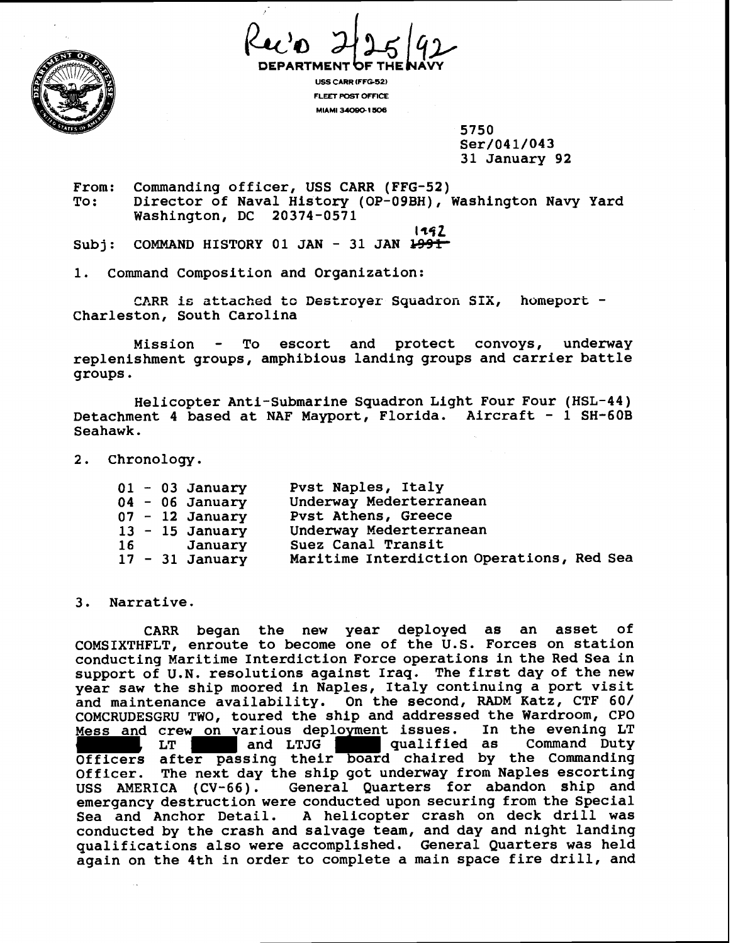

*d%[qP* **DEPARTMENT FTHE AVY** 

**USS CARR IFFG-52) FLEET POST OFFICE MIAMI** IUODO. **1506** 

> 5750 Ser/041/043 31 January 92

From: Commanding officer, USS CARR (FFG-52) To: Director of Naval History (OP-09BH), Washington Navy Yard Washington, DC 20374-0571

**1292** 

Subj: COMMAND HISTORY 01 JAN - 31 JAN 1991

1. Command Composition and Organization:

CARR is attached to Destroyer Squadron SIX, homeport - Charleston, South Carolina

Mission - To escort and protect convoys, underway replenishment groups, amphibious landing groups and carrier battle groups.

Helicopter Anti-Submarine Squadron Light Four Four (HSL-44) Detachment 4 based at NAF Mayport, Florida. Aircraft - 1 SH-60B Seahawk.

2. Chronology.

|  | $01 - 03$ January | Pvst Naples, Italy                        |
|--|-------------------|-------------------------------------------|
|  | $04 - 06$ January | Underway Mederterranean                   |
|  | $07 - 12$ January | Pvst Athens, Greece                       |
|  | $13 - 15$ January | Underway Mederterranean                   |
|  | 16 January        | Suez Canal Transit                        |
|  | $17 - 31$ January | Maritime Interdiction Operations, Red Sea |

# 3. Narrative.

CARR began the new year deployed as an asset of COMSIXTHFLT, enroute to become one of the U.S. Forces on station conducting Maritime Interdiction Force operations in the Red Sea in support of U.N. resolutions against Iraq. The first day of the new year saw the ship moored in Naples, Italy continuing a port visit and maintenance availability. On the second, RADM Katz, CTF 60/ COMCRUDESGRU TWO, toured the ship and addressed the Wardroom, CPO Mess and crew on various deployment issues. In the evening LT<br>LT , LT , and LTJG qualified as Command Duty Officers after passing their board chaired by the Commanding Officer. The next day the ship got underway from Naples escorting USS AMERICA (CV-66). General Quarters for abandon ship and emergancy destruction were conducted upon securing from the Special Sea and Anchor Detail. A helicopter crash on deck drill was conducted by the crash and salvage team, and day and night landing qualifications also were accomplished. General Quarters was held again on the 4th in order to complete a main space fire drill, and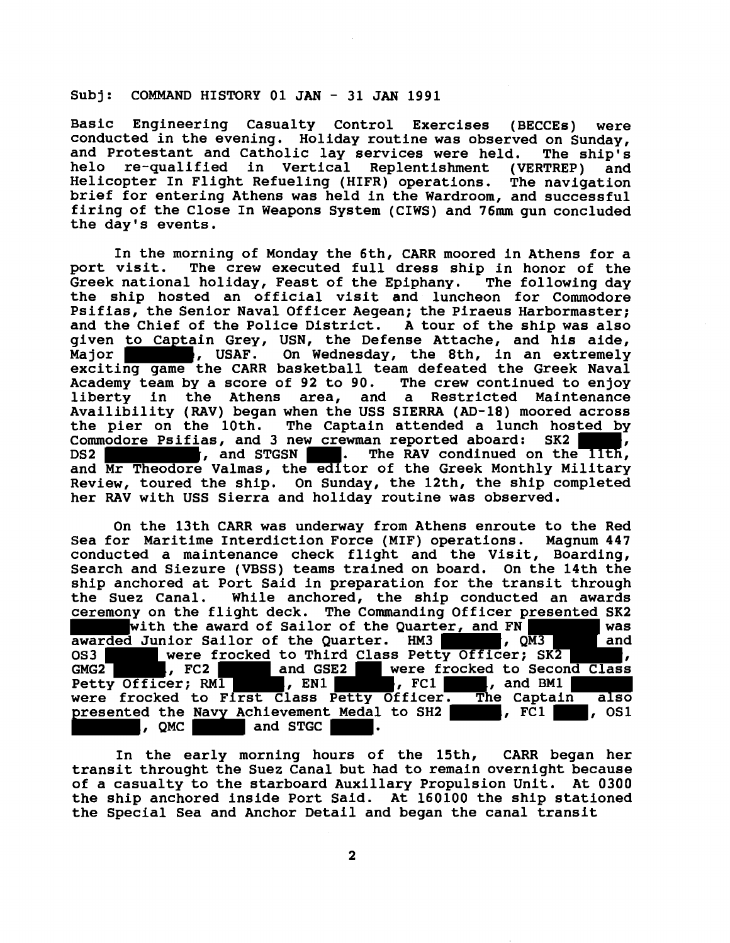# **Subj: COMMAND HISTORY 01 JAN** - **31 JAN 1991**

**Basic Engineering Casualty Control Exercises (BECCEs) were conducted in the evening. Holiday routine was observed on Sunday, and Protestant and Catholic lay services were held. The ship's helo re-qualified in Vertical Replentishment (VERTREP) and Helicopter In Flight Refueling (HIFR) operations. The navigation brief for entering Athens was held in the Wardroom, and successful firing of the Close In Weapons System (CIWS) and 76mm gun concluded the day's events.** 

**In the morning of Monday the 6th, CARR moored in Athens for a port visit. The crew executed full dress ship in honor of the**  Greek national holiday, Feast of the Epiphany. **the ship hosted an official visit and luncheon for Commodore Psifias, the Senior Naval Officer Aegean; the Piraeus Harbormaster; and the Chief of the Police District. A tour of the ship was also given to Captain Grey, USN, the Defense Attache, and his aide,**  Major **Mation 3.1 Telecan Exterminate State and Section** 1. Major **Mathematic State State State 3.1 Major** 3.1 Major 2.1 Major 2.1 Major 2.1 Major 2.1 Major 2.1 Major 2.1 Major 2.1 Major 2.1 Major 2.1 Major 2.1 Major 2.1 M **exciting game the CARR basketball team defeated the Greek Naval Academy team by a score of 92 to 90. The crew continued to enjoy liberty in the Athens area, and a Restricted Maintenance Availibility (RAV) began when the USS SIERRA (AD-18) moored across the pier on the 10th. The Captain attended a lunch hosted by Commodore Psifias, and 3 new crewman reported aboard: SK2 , DS2 , DS2 , and STGSN . The RAV condinued on the llth, and Mr Theodore Valmas, the editor of the Greek Monthly Military Review, toured the ship. On Sunday, the 12th, the ship completed her RAV with USS Sierra and holiday routine was observed.** 

**On the 13th CARR was underway from Athens enroute to the Red Sea for Maritime Interdiction Force (MIF) operations. Magnum 447 conducted a maintenance check flight and the Visit, Boarding, Search and Siezure (VBSS) teams trained on board. On the 14th the ship anchored at Port Said in preparation for the transit through the Suez Canal. While anchored, the ship conducted an awards ceremony on the flight deck. The Commanding Officer presented SK2 with the award of Sailor of the Quarter, and FN was**  awarded Junior Sailor of the Quarter. HM3 , QM3 and OS3 were frocked to Third Class Petty Officer; SK2 , GMG2 , GMG2 , GMG2 , GMG2 , GMG2 , GMG<sub>2</sub> , GMG<sub>2</sub> were frocked to Second Class Petty Officer; RM1 **, EN1 , FC1 , and BM1 were frocked to First Class Petty Officer. The Captain also**  presented the Navy Achievement Medal to SH2 **, FC1 , OS1**, OS1 , OS1 , OS1 , OS1 , OS1 , OS1 , OS1 , OS1 , OS1 , OS1 , OS1 , OS1 , OS1 , OS1 , OS1 , OS1 , OS1 , OS1 , OS1 , OS1 , OS1 , OS1 , OS1 , OS1 , OS1 , OS1 , OS1 , O

**In the early morning hours of the 15th, CARR began her transit throught the Suez Canal but had to remain overnight because of a casualty to the starboard Auxillary Propulsion Unit. At 0300 the ship anchored inside Port Said. At 160100 the ship stationed the Special Sea and Anchor Detail and began the canal transit**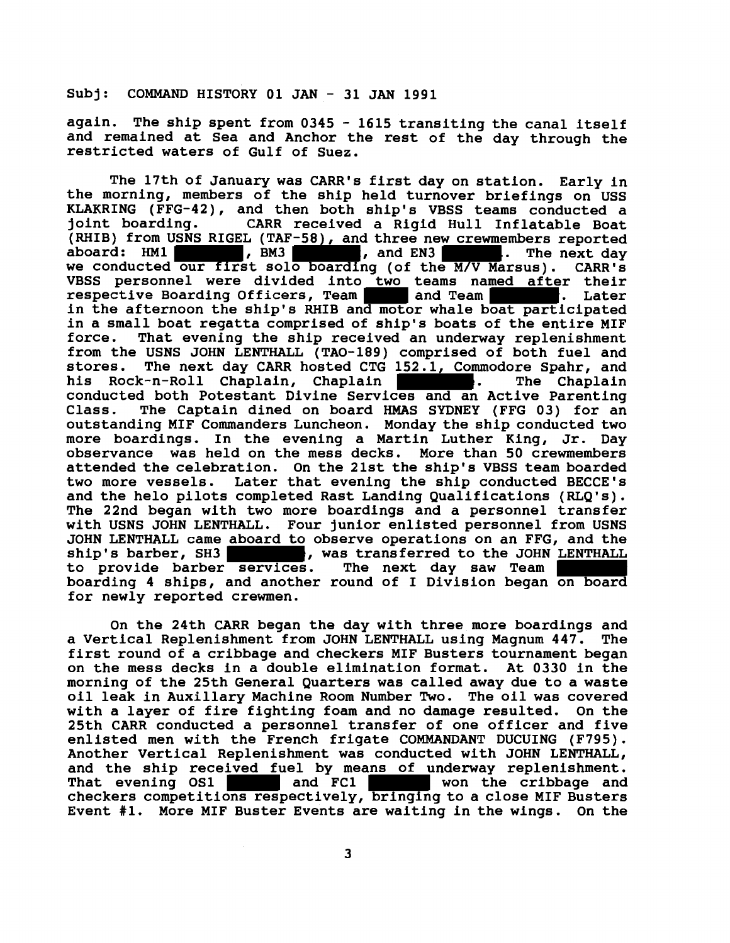**Subj: COMMAND HISTORY 01 JAN** - **31 JAN 1991** 

**again. The ship spent from 0345** - **1615 transiting the canal itself and remained at Sea and Anchor the rest of the day through the restricted waters of Gulf of Suez.** 

**The 17th of January was CARR's first day on station. Early in the morning, members of the ship held turnover briefings on USS KLAKRING (FFG-42), and then both ship's VBSS teams conducted a joint boarding. CARR received a Rigid Hull Inflatable Boat (RHIB) from USNS RIGEL (TAF-58), and three new crewmembers reported a**board: The next day<br>Marsus). CARR's we conducted our first solo boarding (of the M/V Marsus). **VBSS personnel were divided into two teams named after their respective Boarding Officers, Team and Team . Later in the afternoon the ship's RHIB and motor whale boat participated in a small boat regatta comprised of ship's boats of the entire MIF force. That evening the ship received an underway replenishment from the USNS JOHN LENTHALL (TAO-189) comprised of both fuel and stores. The next day CARR hosted CTG 152.1, Commodore Spahr, and**  his Rock-n-Roll Chaplain, Chaplain **Republic 2018**. The Chaplain **conducted both Potestant Divine Services and an Active Parenting Class. The Captain dined on board HMAS SYDNEY (FFG 03) for an outstanding MIF Commanders Luncheon. Monday the ship conducted two more boardings. In the evening a Martin Luther King, Jr. Day observance was held on the mess decks. More than 50 crewmembers attended the celebration. On the 21st the ship's VBSS team boarded two more vessels. Later that evening the ship conducted BECCE's and the helo pilots completed Rast Landing Qualifications (RLQ's). The 22nd began with two more boardings and a personnel transfer with USNS JOHN LENTHALL. Four junior enlisted personnel from USNS JOHN LENTHALL came aboard to observe operations on an FFG, and the s**, was transferred to the JOHN LENTHALL **to provide barber services. The next day saw Team boarding 4 ships, and another round of I Division began on board for newly reported crewmen.** 

**On the 24th CARR began the day with three more boardings and a Vertical Replenishment from JOHN LENTHALL using Magnum 447. The first round of a cribbage and checkers MIF Busters tournament began on the mess decks in a double elimination format. At 0330 in the morning of the 25th General Quarters was called away due to a waste oil leak in Auxiliary Machine Room Number Two. The oil was covered with a layer of fire fighting foam and no damage resulted. On the 25th CARR conducted a personnel transfer of one officer and five enlisted men with the French frigate COMMANDANT DUCUING (F795). Another Vertical Replenishment was conducted with JOHN LENTHALL, and the ship received fuel by means of underway replenishment. That evening OS1 and FC1 won the cribbage and checkers competitions respectively, bringingto a close MIF Busters Event #l. More MIF Buster Events are waiting in the wings. On the**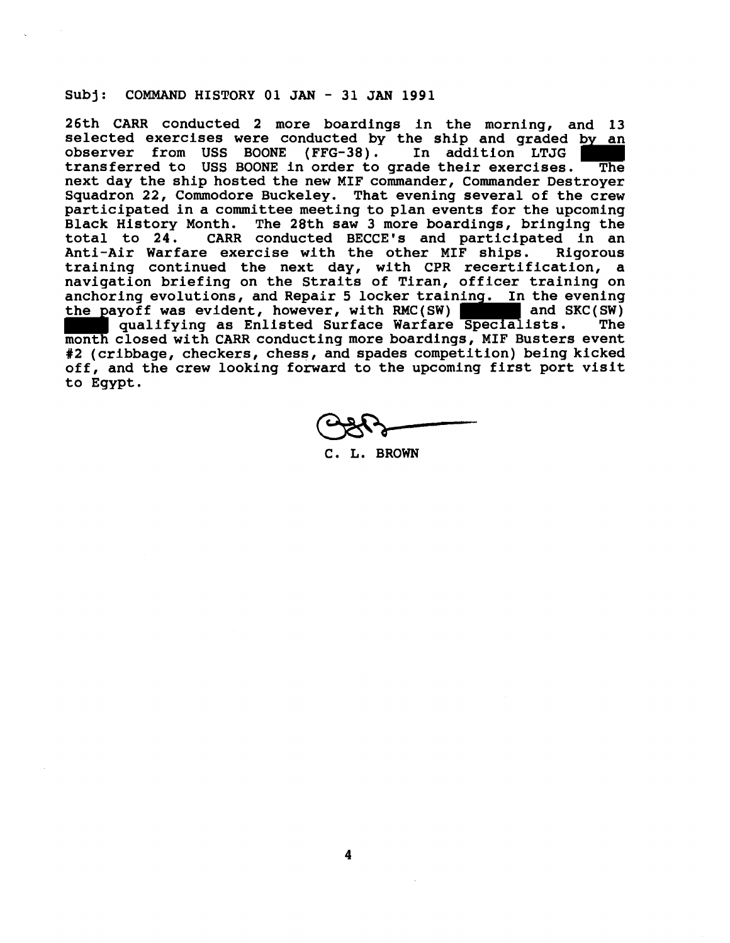# **Subj: COMMAND HISTORY 01 JAN** - **31 JAN 1991**

**26th CARR conducted 2 more boardings in the morning, and 13 selected exercises were conducted by the ship and graded by an observer from USS BOONE (FFG-38). In addition LTJG transferred to USS BOONE in order to grade their exercises. The next day the ship hosted the new MIF commander, Commander Destroyer Squadron 22, Commodore Buckeley. That evening several of the crew participated in a committee meeting to plan events for the upcoming**  The 28th saw 3 more boardings, bringing the **total to 24. CARR conducted BECCE's and participated in an Anti-Air Warfare exercise with the other MIF ships. Rigorous training continued the next day, with CPR recertification, a navigation briefing on the Straits of Tiran, officer training on anchoring evolutions, and Repair 5 locker training. In the evening**  the payoff was evident, however, with RMC(SW)  **qualifying as Enlisted Surface Warfare Specialists. The month closed with CARR conducting more boardings, MIF Busters event #2 (cribbage, checkers, chess, and spades competition) being kicked off, and the crew looking forward to the upcoming first port visit to Egypt.** 

**C. L. BROWN**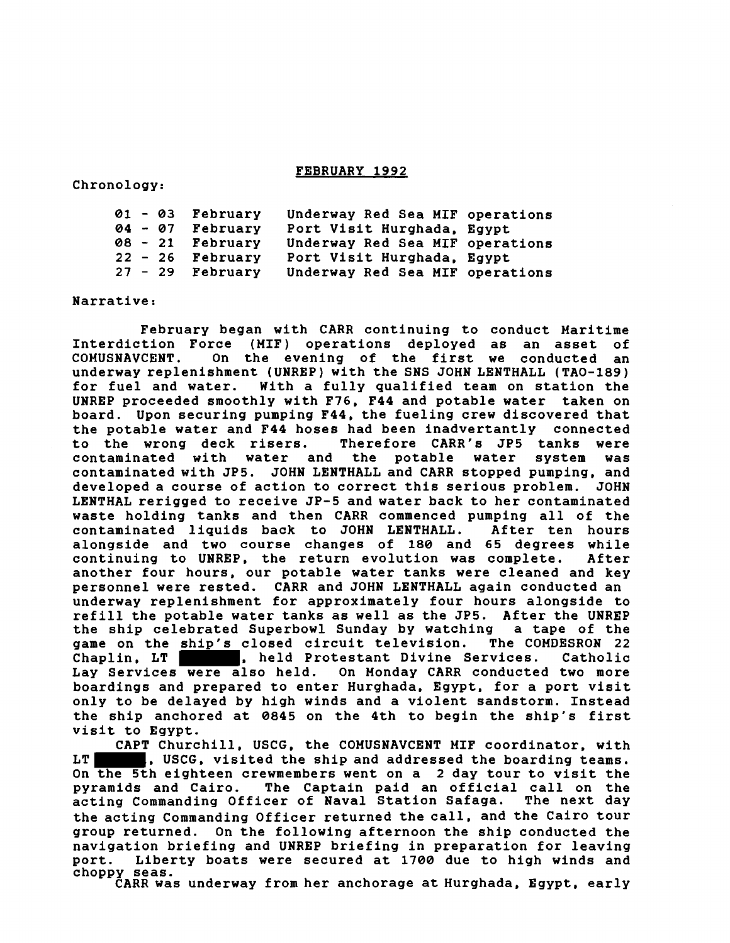# **FEBRUARY 1992**

**Chronology:** 

| $01 - 03$ February | Underway Red Sea MIF operations |  |
|--------------------|---------------------------------|--|
| 04 - 07 February   | Port Visit Hurghada, Egypt      |  |
| 08 - 21 February   | Underway Red Sea MIF operations |  |
| $22 - 26$ February | Port Visit Hurghada, Egypt      |  |
| $27 - 29$ February | Underway Red Sea MIF operations |  |

**Narrative:** 

**February began with CARR continuing to conduct Maritime Interdiction Force (MIF) operations deployed as an asset of**  On the evening of the first we conducted an **underway replenishment (UNREP) with the SNS JOHN LENTHALL (TAO-189) for fuel and water. With a fully qualified team on station the UNREP proceeded smoothly with F76, F44 and potable water taken on board. Upon securing pumping F44, the fueling crew discovered that the potable water and F44 hoses had been inadvertantly connected to the wrong deck risers. Therefore CARR's JP5 tanks were**  contaminated with water and **contaminated with JP5. JOHN LENTHALL and CARR stopped pumping, and developed a course of action to correct this serious problem. JOHN LENTHAL rerigged to receive JP-5 and water back to her contaminated waste holding tanks and then CARR commenced pumping all of the**  contaminated liquids back to JOHN LENTHALL. **alongside and two course changes of 180 and 65 degrees while continuing to UNREP, the return evolution was complete. After another four hours, our potable water tanks were cleaned and key personnel were rested. CARR and JOHN LENTHALL again conducted an underway replenishment for approximately four hours alongside to refill the potable water tanks as well as the JP5. After the UNREP the ship celebrated Superbowl Sunday by watching a tape of the**  game on the ship's closed circuit television. **Chaplin, LT , held Protestant Divine Services. Catholic Lay Services were also held. On Monday CARR conducted two more boardings and prepared to enter Hurghada, Egypt, for a port visit only to be delayed by high winds and a violent sandstorm. Instead the ship anchored at 0845 on the 4th to begin the ship's first visit to Egypt.** 

**CAPT Churchill, USCG, the COMUSNAVCENT MIF coordinator, with LT , USCG, visited the ship and addressed the boarding teams. On the 5th eighteen crewmembers went on a 2 day tour to visit the pyramids and Cairo. The Captain paid an official call on the**  acting Commanding Officer of Naval Station Safaga. **the acting Commanding Officer returned the call, and the Cairo tour group returned. On the following afternoon the ship conducted the navigation briefing and UNREP briefing in preparation for leaving port. Liberty boats were secured at 1700 due to high winds and choppy seas.** 

**CARR was underway from her anchorage at Hurghada, Egypt, early**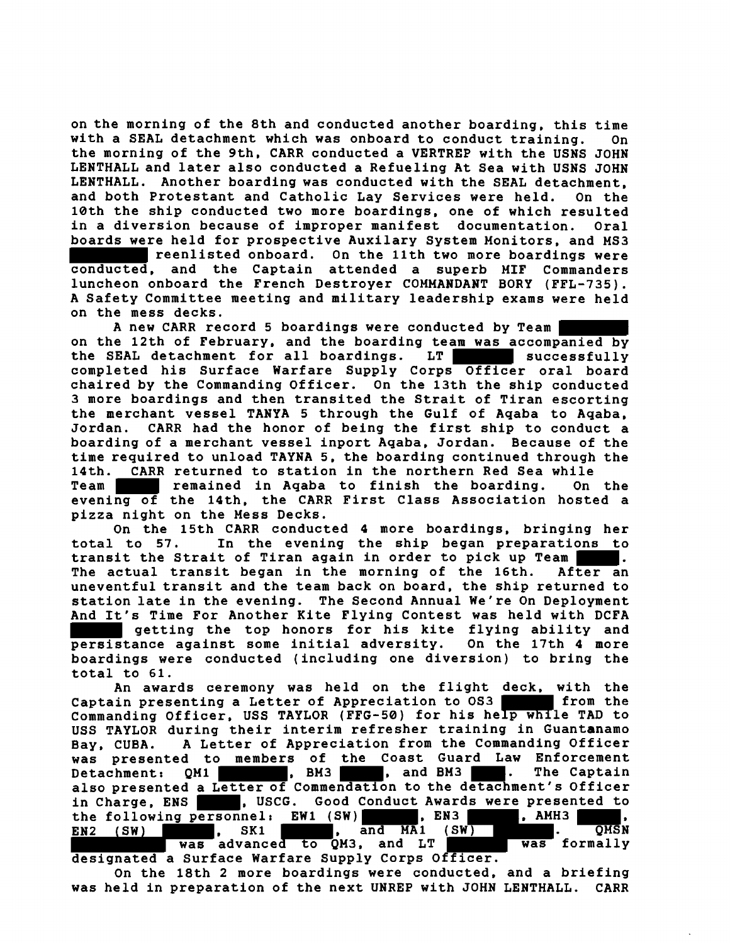**on the morning of the 8th and conducted another boarding, this time with a SEAL detachment which was onboard to conduct training. On the morning of the 9th. CARR conducted a VERTREP with the USNS JOHN LENTHALL and later also conducted a Refueling At Sea with USNS JOHN LENTHALL. Another boarding was conducted with the SEAL detachment, and both Protestant and Catholic Lay Services were held. On the 10th the ship conducted two more boardings, one of which resulted in a diversion because of improper manifest documentation. Oral boards were held for prospective Auxilary System Monitors, and MS3 reenlisted onboard. On the 11th two more boardings were conducted, and the Captain attended a superb MIF Commanders luncheon onboard the French Destroyer COMMANDANT BORY (FFL-735). A Safety Committee meeting and military leadership exams were held on the mess decks.** 

**A new CARR record 5 boardings were conducted by Team on the 12th of February, and the boarding team was accompanied by the SEAL detachment for all boardings. LT successfully completed his Surface Warfare Supply Corps Officer oral board chaired by the Commanding Officer. On the 13th the ship conducted 3 more boardings and then transited the Strait of Tiran escorting the merchant vessel TANYA 5 through the Gulf of Aqaba to Aqaba, Jordan. CARR had the honor of being the first ship to conduct a boarding of a merchant vessel inport Aqaba, Jordan. Because of the time required to unload TAYNA 5, the boarding continued through the 14th. CARR returned to station in the northern Red Sea while** 

**Team remained in Aqaba to finish the boarding. On the evening of the 14th, the CARR First Class Association hosted a pizza night on the Mess Decks.** 

**On the 15th CARR conducted 4 more boardings, bringing her total to 57. In the evening the ship began preparations to transit the Strait of Tiran again in order to pick up Team . The actual transit began in the morning of the 16th. After an uneventful transit and the team back on board, the ship returned to station late in the evening. The Second Annual We're On Deployment And It's Time For Another Kite Flying Contest was held with DCFA getting the top honors for his kite flying ability and persistance against some initial adversity. On the 17th 4 more boardings were conducted (including one diversion) to bring the total to 61.** 

**An awards ceremony was held on the flight deck, with the**  Captain presenting a Letter of Appreciation to OS3 **from** from the **Commanding Officer, USS TAYLOR (FFG-50) for his help while TAD to USS TAYLOR during their interim refresher training in Guantanamo Bay, CUBA. A Letter of Appreciation from the Commanding Officer was presented to members of the Coast Guard Law Enforcement**  Detachment: QM1 , BM3 , and BM3 . **also presented a Letter of Commendation to the detachment's Officer**  in Charge, ENS **. ...**, USCG. Good Conduct Awards were presented to the following personnel: EW1 (SW) **........**, EN3 **.........**, AMH3 the following personnel: EW1 (SW) **, EN3 , AMH3 , P. AMH3**, EN2 (SW) , SK1 , SK1 , and MA1 (SW) , WAS formally **was advanced to QM3, and LT designated a Surface Warfare Supply Corps Officer.** 

**On the 18th 2 more boardings were conducted, and a briefing was held in preparation of the next UNREP with JOHN LENTHALL. CARR**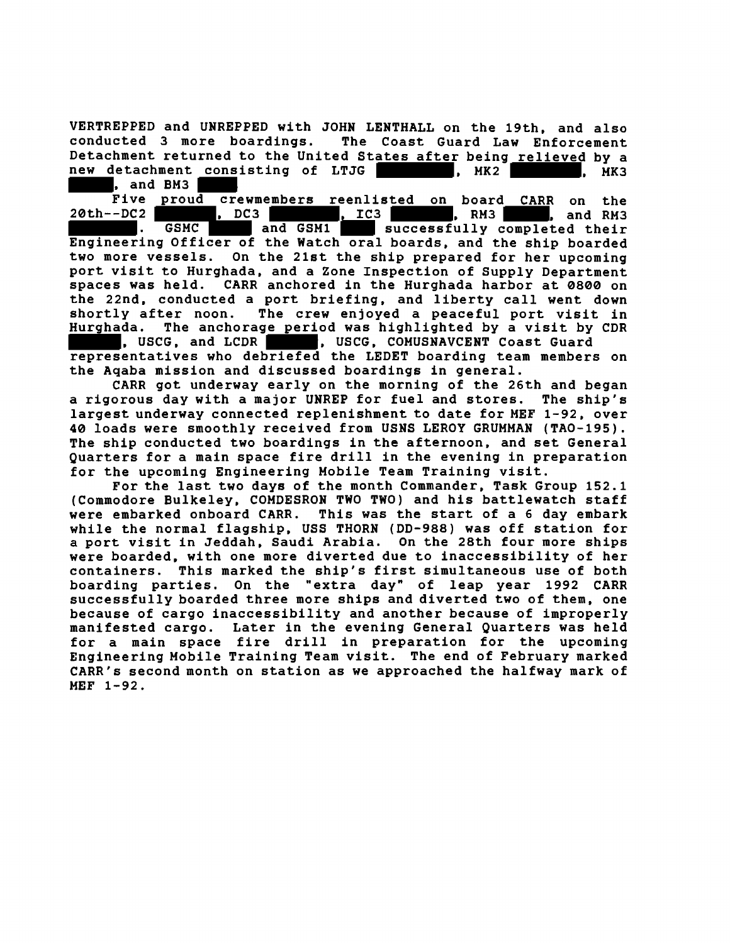VERTREPPED and UNREPPED with JOHN LENTHALL on the 19th. and also The Coast Guard Law Enforcement Detachment returned to the United States after being relieved by a new detachment consisting of LTJG new detachment consisting of LTJG (and MK2 ), MK3 , and BM3

Five proud crewmembers reenlisted on board CARR on the 20th--DC2 **1000 , DC3** , DC3 , DC3 , DC3 , DC3 , DC3 , DC3 , DC3 , DC3 , DC3 , DC3 , DC3 , DC3 , DC3 , DC3 , DC3 , DC3 , DC3 , DC3 , DC3 , DC3 , DC3 , DC3 , DC3 , DC3 , DC3 , DC3 , DC3 , DC3 , DC3 , DC3 , DC3 , DC3 , DC3 , DC3 , DC3 . GSMC and GSM1 successfully completed their Engineering Officer of the Watch oral boards, and the ship boarded two more vessels. On the 21st the ship prepared for her upcoming port visit to Hurghada, and a Zone Inspection of Supply Department spaces was held. CARR anchored in the Hurghada harbor at 0800 on the 22nd, conducted a port briefing, and liberty call went down shortly after noon. The crew enjoyed a peaceful port visit in Hurghada. The anchorage period was highlighted by a visit by CDR<br>Not the second that the second component coast Guard , USCG, COMUSNAVCENT Coast Guard

representatives who debriefed the LEDET boarding team members on the Aqaba mission and discussed boardings in general.

CARR got underway early on the morning of the 26th and began a rigorous day with a major UNREP for fuel and stores. The ship's largest underway connected replenishment to date for MEF 1-92, over 40 loads were smoothly received from USNS LEROY GRUMMAN (TAO-195). The ship conducted two boardings in the afternoon, and set General Quarters for a main space fire drill in the evening in preparation for the upcoming Engineering Mobile Team Training visit.

For the last two days of the month Commander, Task Group 152.1 (Commodore Bulkeley, COMDESRON TWO TWO) and his battlewatch staff were embarked onboard CARR. This was the start of a 6 day embark while the normal flagship, USS THORN (DD-988) was off station for a port visit in Jeddah, Saudi Arabia. On the 28th four more ships were boarded, with one more diverted due to inaccessibility of her containers. This marked the ship's first simultaneous use of both boarding parties. On the "extra day" of leap year 1992 CARR successfully boarded three more ships and diverted two of them, one because of cargo inaccessibility and another because of improperly manifested cargo. Later in the evening General Quarters was held for a main space fire drill in preparation for the upcoming Engineering Mobile Training Team visit. The end of February marked CARR's second month on station as we approached the halfway mark of MEF 1-92.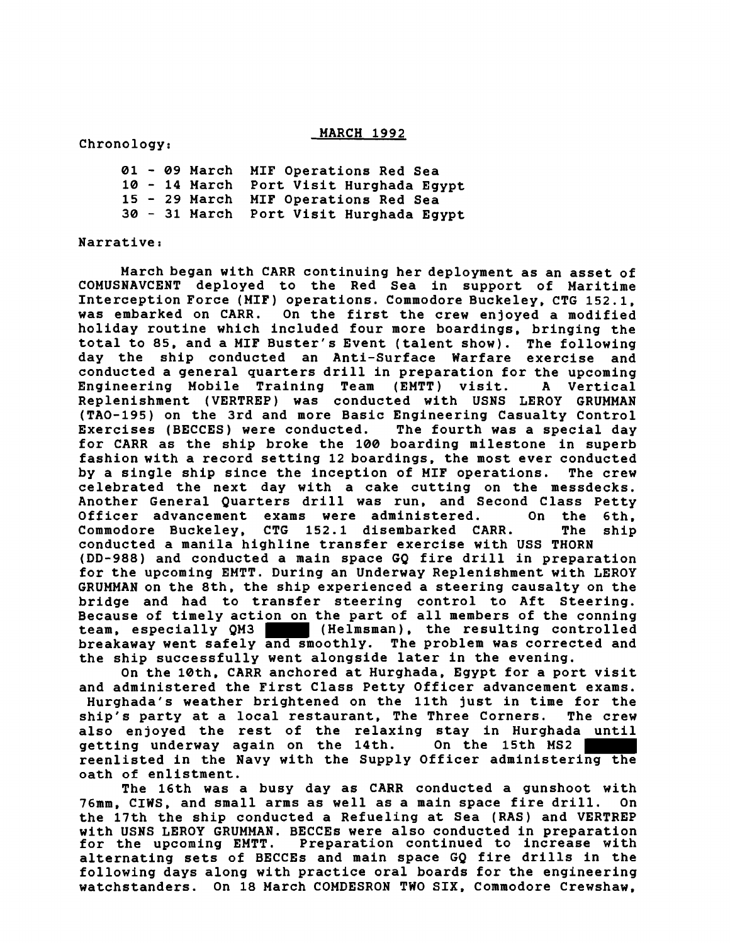### **MARCH 1992**

# **Chronology:**

- **09 March MIF Operations Red Sea**  - **14 March Port Visit Hurghada Egypt**  - **29 March MIF Operations Red Sea**  - **31 March Port Visit Hurghada Egypt** 

## **Narrative:**

**March began with CARR continuing her deployment as an asset of COMUSNAVCENT deployed to the Red Sea in support of Maritime Interception Force (MIF) operations. Commodore Buckeley, CTG 152.1, was embarked on CARR. On the first the crew enjoyed a modified holiday routine which included four more boardings, bringing the total to 85, and a MIF Buster's Event (talent show). The following day the ship conducted an Anti-Surface Warfare exercise and conducted a general quarters drill in preparation for the upcoming Engineering Mobile Training Team (EMTT) visit. A Vertical Replenishment (VERTREP) was conducted with USNS LEROY GRUMMAN (TAO-195) on the 3rd and more Basic Engineering Casualty Control Exercises (BECCES) were conducted. The fourth was a special day for CARR as the ship broke the 100 boarding milestone in superb fashion with a record setting 12 boardings, the most ever conducted by a single ship since the inception of MIF operations. The crew celebrated the next day with a cake cutting on the messdecks. Another General Quarters drill was run, and Second Class Petty Officer advancement exams were administered. On the 6th, Commodore Buckeley, CTG 152.1 disembarked CARR. The ship conducted a manila highline transfer exercise with USS THORN (DD-988) and conducted a main space GQ fire drill in preparation for the upcoming EMTT. During an Underway Replenishment with LEROY GRUMMAN on the 8th. the ship experienced a steering causalty on the bridge and had to transfer steering control to Aft Steering. Because of timely action on the part of all members of the conning (Helmsman), the resulting controlled breakaway went safely and smoothly. The problem was corrected and the ship successfully went alongside later in the evening.** 

**On the lath, CARR anchored at Hurghada, Egypt for a port visit and administered the First Class Petty Officer advancement exams. Hurghada's weather brightened on the 11th just in time for the ship's party at a local restaurant, The Three Corners. The crew also enjoyed the rest of the relaxing stay in Hurghada until getting underway again on the 14th. On the 15th MS2 reenlisted in the Navy with the Supply Officer administering the oath of enlistment.** 

**The 16th was a busy day as CARR conducted a gunshoot with 76mm, CIWS, and small arms as well as a main space fire drill. On the 17th the ship conducted a Refueling at Sea (RAS) and VERTREP with USNS LEROY GRUMMAN. BECCEs were also conducted in preparation for the upcoming EMTT. Preparation continued to increase with alternating sets of BECCEs and main space GQ fire drills in the following days along with practice oral boards for the engineering watchstanders. On 18 March COMDESRON TWO SIX, Commodore Crewshaw,**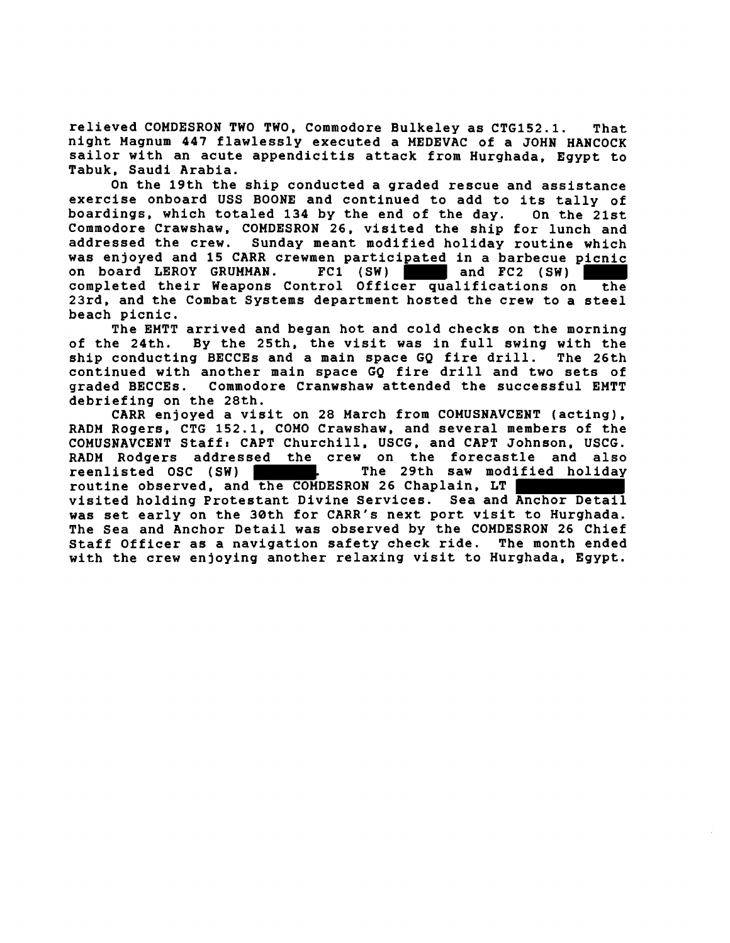relieved COMDESRON TWO TWO, Commodore Bulkeley as CTG152.1. That night Magnum 447 flawlessly executed a MEDEVAC of a JOHN HANCOCK sailor with an acute appendicitis attack from Hurghada, Egypt to Tabuk, Saudi Arabia.

On the 19th the ship conducted a graded rescue and assistance exercise onboard USS BOONE and continued to add to its tally of boardings, which totaled 134 by the end of the day. On the 21st Commodore Crawshaw, COMDESRON 26, visited the ship for lunch and addressed the crew. Sunday meant modified holiday routine which was enjoyed and 15 CARR crewmen participated in a barbecue picnic<br>on board LEROY GRUMMAN. FC1 (SW) and FC2 (SW) on board LEROY GRUMMAN. completed their Weapons Control Officer qualifications on the 23rd, and the Combat Systems department hosted the crew to a steel beach picnic.

The EMTT arrived and began hot and cold checks on the morning of the 24th. By the 25th, the visit was in full swing with the ship conducting BECCEs and a main space GQ fire drill. The 26th ship conducting BECCEs and a main space GQ fire drill. continued with another main space GQ fire drill and two sets of Commodore Cranwshaw attended the successful EMTT debriefing on the 28th.

CARR enjoyed a visit on 28 March from COMUSNAVCENT (acting), RADM Rogers, CTG 152.1, COMO Crawshaw, and several members of the COMUSNAVCENT Staff: CAPT Churchill, USCG, and CAPT Johnson, USCG. RADM Rodgers addressed the crew on the forecastle and also<br>reenlisted OSC (SW) The 29th saw modified holiday routine observed, and the COMDESRON 26 Chaplain, LT visited holding Protestant Divine Services. Sea and Anchor Detail was set early on the 30th for CARR's next port visit to Hurghada. The Sea and Anchor Detail was observed by the COMDESRON 26 Chief Staff Officer as a navigation safety check ride. The month ended with the crew enjoying another relaxing visit to Hurghada, Egypt.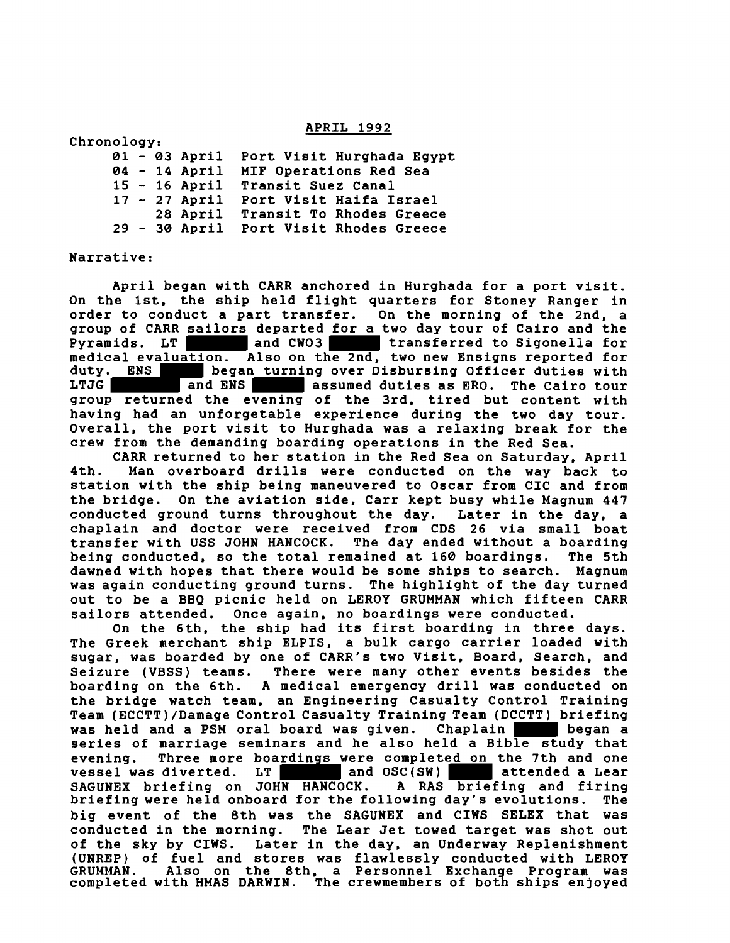APRIL 1992

| Chronology: |  |                 |                           |
|-------------|--|-----------------|---------------------------|
|             |  | $01 - 03$ April | Port Visit Hurghada Egypt |
|             |  | $04 - 14$ April | MIF Operations Red Sea    |
|             |  | $15 - 16$ April | <b>Transit Suez Canal</b> |
|             |  | $17 - 27$ April | Port Visit Haifa Israel   |
|             |  | 28 April        | Transit To Rhodes Greece  |
|             |  | $29 - 30$ April | Port Visit Rhodes Greece  |

#### Narrative:

April began with CARR anchored in Hurghada for a port visit. On the 1st. the ship held flight quarters for Stoney Ranger in order to conduct a part transfer. On the morning of the 2nd. a group of CARR sailors departed for a two day tour of Cairo and the Pyramids. LT and CW03 transferred to Sigonella for medical evaluation. Also on the 2nd. two new Ensigns reported for duty. ENS began turning over Disbursing Officer duties with LTJG and ENS assumed duties as ERO. The Cairo tour group returned the evening of the 3rd. tired but content with having had an unforgetable experience during the two day tour. Overall, the port visit to Hurghada was a relaxing break for the crew from the demanding boarding operations in the Red Sea.

CARR returned to her station in the Red Sea on Saturday, April 4th. Man overboard drills were conducted on the way back to station with the ship being maneuvered to Oscar from CIC and from the bridge. On the aviation side, Carr kept busy while Magnum 447 conducted ground turns throughout the day. Later in the day, a chaplain and doctor were received from CDS 26 via small boat transfer with USS JOHN HANCOCK. being conducted, so the total remained at 160 boardings. The 5th dawned with hopes that there would be some ships to search. Magnum was again conducting ground turns. The highlight of the day turned out to be a BBQ picnic held on LEROY GRUMMAN which fifteen CARR sailors attended. Once again, no boardings were conducted.

On the 6th, the ship had its first boarding in three days. The Greek merchant ship ELPIS, a bulk cargo carrier loaded with sugar, was boarded by one of CARR's two Visit, Board, Search, and Seizure (VBSS) teams. There were many other events besides the boarding on the 6th. A medical emergency drill was conducted on the bridge watch team, an Engineering Casualty Control Training Team (ECCTT)/Damage Control Casualty Training Team (DCCTT) briefing was held and a PSM oral board was given. Chaplain began a series of marriage seminars and he also held a Bible study that evening. Three more boardings were completed on the 7th and one<br>vessel was diverted. LT and OSC(SW) vessel was diverted. LT and OSC(SW) attended a Lear SAGUNEX briefing on JOHN HANCOCK. A RAS briefing and firing SAGUNEX briefing on JOHN HANCOCK. A RAS briefing and firing<br>briefing were held onboard for the following day's evolutions. The big event of the 8th was the SAGUNEX and CIWS SELEX that was conducted in the morning. The Lear Jet towed target was shot out of the sky by CIWS. Later in the day, an Underway Replenishment (UNREP) of fuel and stores was flawlessly conducted with LEROY (UNREP) or ruel and stores was riawlessly conducted with LEROY<br>GRUMMAN. Also on the 8th, a Personnel Exchange Program was completed with HMAS DARWIN. The crewmembers of both ships enjoyed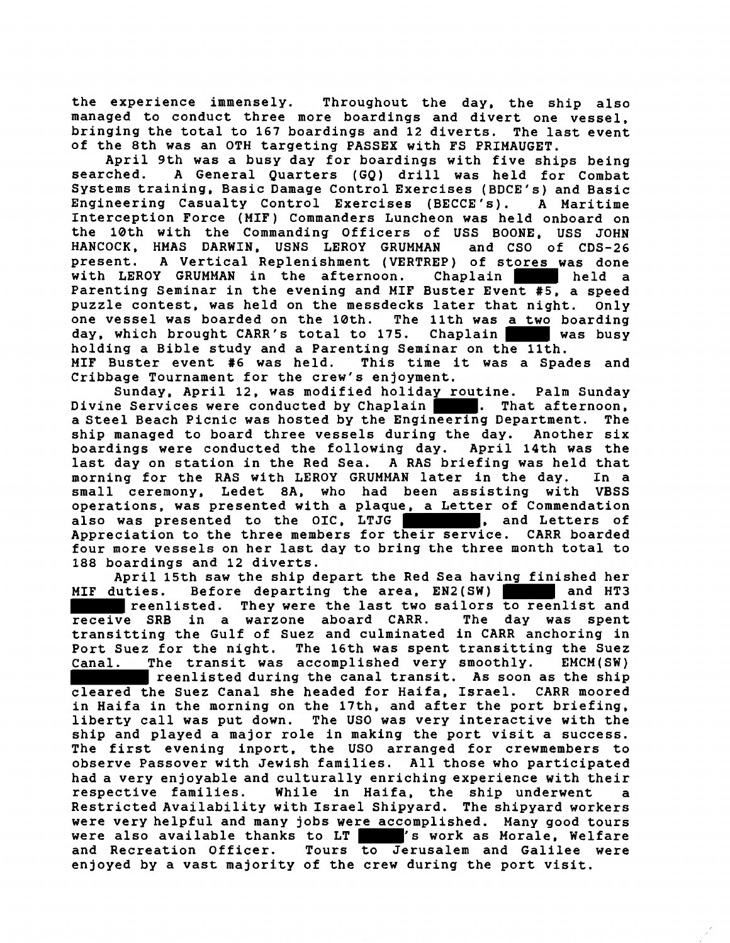the experience immensely. Throughout the day, the ship also managed to conduct three more boardings and divert one vessel, bringing the total to 167 boardings and 12 diverts. The last event of the 8th was an OTH targeting PASSEX with FS PRIMAUGET.

April 9th was a busy day for boardings with five ships being searched. A General Quarters (GQ) drill was held for Combat Systems training, Basic Damage Control Exercises (BDCE's) and Basic Engineering Casualty Control Exercises (BECCE's). A Maritime Interception Force (MIF) Commanders Luncheon was held onboard on the 10th with the Commanding Officers of USS BOONE, USS JOHN HANCOCK, HMAS DARWIN, USNS LEROY GRUMMAN and CSO of CDS-26 present. A Vertical Replenishment (VERTREP) of stores was done<br>with LEROY GRUMMAN in the afternoon. Chaplain with LEROY GRUMMAN in the afternoon. Chaplain held a Parenting Seminar in the evening and MIF Buster Event **#5,** a speed puzzle contest, was held on the messdecks later that night. Only<br>one vessel was boarded on the 10th. The 11th was a two boarding one vessel was boarded on the 10th. day, which brought CARR's total to 175. Chaplain was busy holding a Bible study and a Parenting Seminar on the 11th. MIF Buster event #6 was held. This time it was a Spades and Cribbage Tournament for the crew's enjoyment.

Sunday, April 12, was modified holiday routine. Palm Sunday Divine Services were conducted by Chaplain . That afternoon, a Steel Beach Picnic was hosted by the Engineering Department. The<br>ship managed to board three vessels during the day. Another six ship managed to board three vessels during the day. Another six<br>boardings were conducted the following day. April 14th was the boardings were conducted the following day. last day on station in the Red Sea. A RAS briefing was held that morning for the RAS with LEROY GRUMMAN later in the day. small ceremony, Ledet 8A, who had been assisting with VBSS operations, was presented with a plaque, a Letter of Commendation<br>also was presented to the OIC. LTJG also was presented to the OIC, LTJG | Appreciation to the three members for their service. CARR boarded four more vessels on her last day to bring the three month total to 188 boardings and 12 diverts.

April 15th saw the ship depart the Red Sea having finished her<br>luties. Before departing the area, EN2(SW) MIF duties. Before departing the area, EN2(SW) reenlisted. They were the last two sailors <del>to ree</del>nlist and<br>e SRB in a warzone aboard CARR. The day was spent receive SRB in a warzone aboard CARR. transitting the Gulf of Suez and culminated in CARR anchoring in Port Suez for the night. The 16th was spent transitting the Suez Canal. The transit was accomplished very smoothly. EMCM(SW) reenlisted during the canal transit. As soon as the ship cleared the Suez Canal she headed for Haifa, Israel. CARR moored in Haifa in the morning on the 17th, and after the port briefing, liberty call was put down. The US0 was very interactive with the ship and played a major role in making the port visit a success. The first evening inport, the US0 arranged for crewmembers to observe Passover with Jewish families. All those who participated had a very enjoyable and culturally enriching experience with their respective families. While in Haifa, the ship underwent a Restricted Availability with Israel Shipyard. The shipyard workers were very helpful and many jobs were accomplished. Many good tours<br>were also available thanks to LT  $\blacksquare$ 's work as Morale, Welfare were also available thanks to LT<br>and Recreation Officer. Tours to J Tours to Jerusalem and Galilee were enjoyed by a vast majority of the crew during the port visit.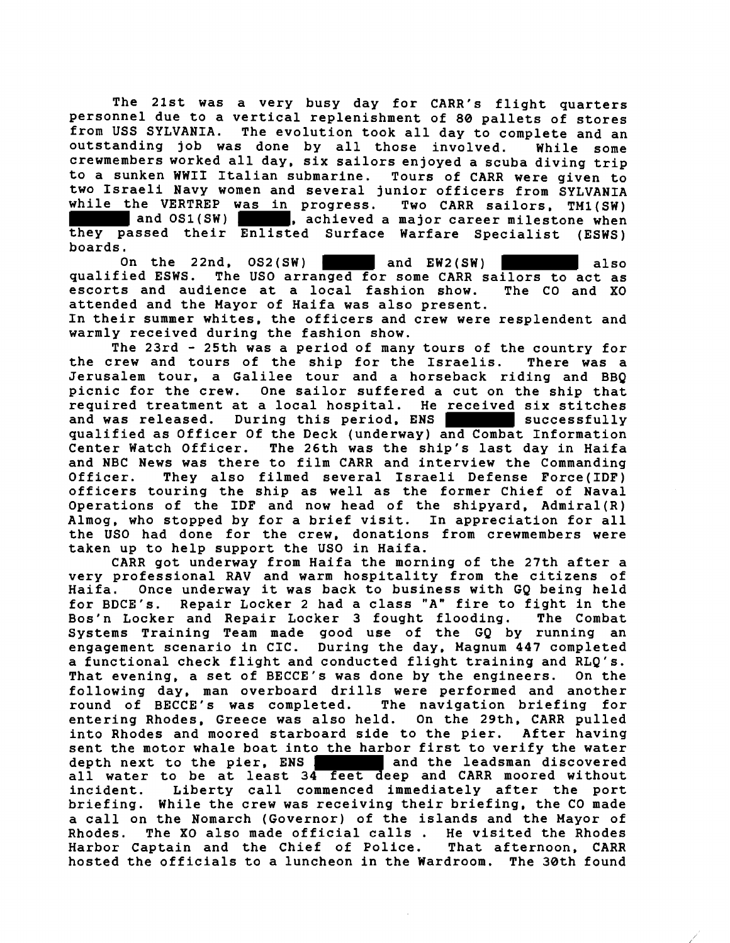The 21st was a very busy day for CARR's flight quarters personnel due to a vertical replenishment of 80 pallets of stores<br>from USS SYLVANIA. The evolution took all day to complete and an The evolution took all day to complete and an outstanding job was done by all those involved. While some crewmembers worked all day, six sailors enjoyed a scuba diving trip to a sunken WWII Italian submarine. Tours of CARR were given to two Israeli Navy women and several junior officers from SYLVANIA while the VERTREP was in progress. Two CARR sailors, TM1(SW)<br>and OS1(SW) achieved a major career milestone when , achieved a major career milestone when

they passed their Enlisted Surface Warfare Specialist (ESWS) boards.

On the 22nd, OS2(SW) and EW2(SW) also qualified ESWS. The US0 arranged for some CARR sailors to act as escorts and audience at a local fashion show. The CO and XO attended and the Mayor of Haifa was also present.

In their summer whites, the officers and crew were resplendent and warmly received during the fashion show.

The 23rd - 25th was a period of many tours of the country for<br>rew and tours of the ship for the Israelis. There was a: the crew and tours of the ship for the Israelis. Jerusalem tour, a Galilee tour and a horseback riding and BBQ<br>picnic for the crew. One sailor suffered a cut on the ship that One sailor suffered a cut on the ship that required treatment at a local hospital. He received six stitches<br>and was released. During this period. ENS<br>successfully During this period, ENS successfully qualified as Officer Of the Deck (underway) and Combat Information The 26th was the ship's last day in Haifa and NBC News was there to film CARR and interview the Commanding Officer. They also filmed several Israeli Defense Force(1DF) officers touring the ship as well as the former Chief of Naval Operations of the IDF and now head of the shipyard,  $Admiral(R)$ Almog, who stopped by for a brief visit. In appreciation for all the US0 had done for the crew, donations from crewmembers were taken up to help support the US0 in Haifa.

CARR got underway from Haifa the morning of the 27th after a very professional RAV and warm hospitality from the citizens of Haifa. Once underway it was back to business with GQ being held<br>for BDCE's. Repair Locker 2 had a class "A" fire to fight in the Repair Locker 2 had a class "A" fire to fight in the<br>r and Repair Locker 3 fought flooding. The Combat Bos'n Locker and Repair Locker 3 fought flooding. Systems Training Team made good use of the GQ by running an engagement scenario in CIC. During the day, Magnum 447 completed a functional check flight and conducted flight training and RLQ's. That evening, a set of BECCE's was done by the engineers. On the following day, man overboard drills were performed and another<br>round of BECCE's was completed. The navigation briefing for round of BECCE's was completed. entering Rhodes, Greece was also held. On the 29th. CARR pulled into Rhodes and moored starboard side to the pier. After having sent the motor whale boat into the harbor first to verify the water depth next to the pier, ENS | and the leadsman discovered all water to be at least 34 feet deep and CARR moored without incident. Liberty call commenced immediately after the port briefing. While the crew was receiving their briefing, the CO made a call on the Nomarch (Governor) of the islands and the Mayor of Rhodes. The XO also made official calls . He visited the Rhodes<br>Harbor Captain and the Chief of Police. That afternoon, CARR Harbor Captain and the Chief of Police. hosted the officials to a luncheon in the Wardroom. The 30th found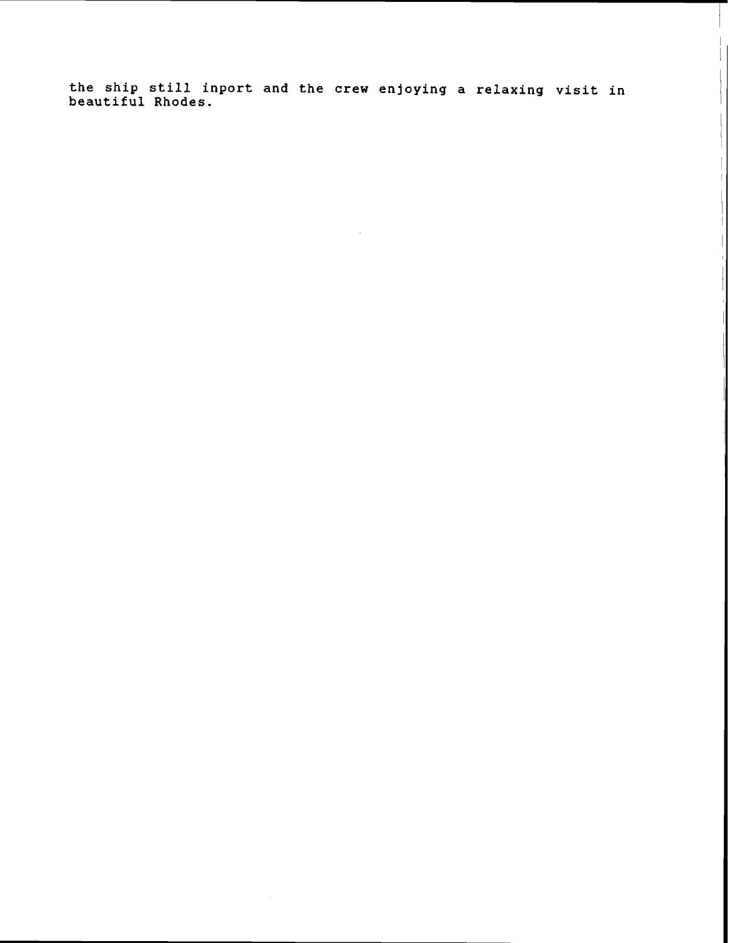**the ship still inport and the crew enjoying a relaxing visit in beautiful Rhodes.** 

 $\bar{z}$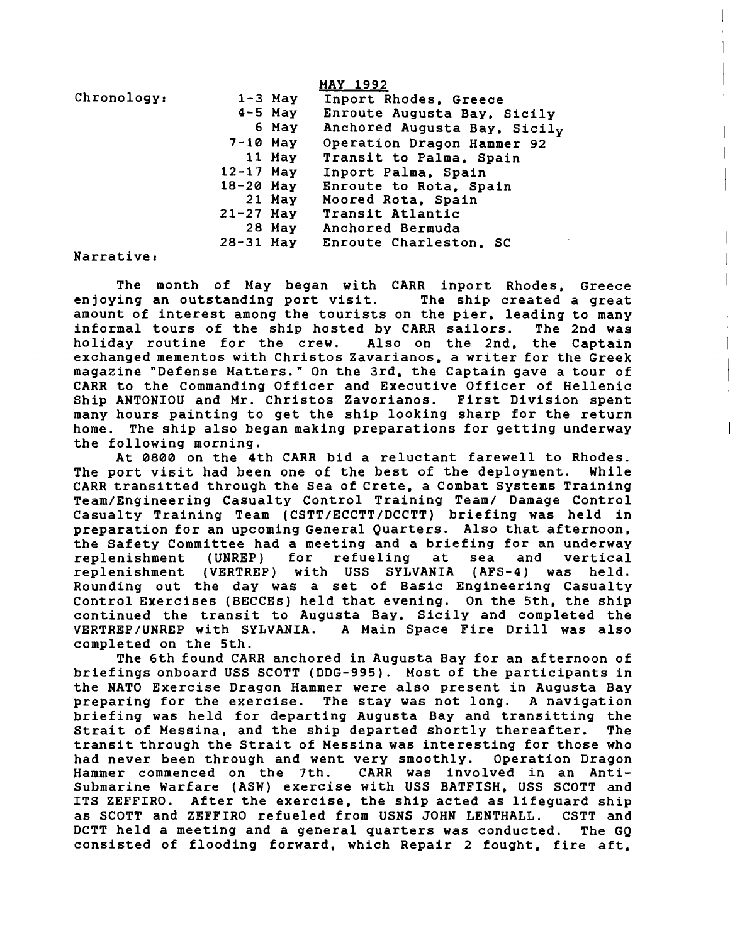|                               |             |             | <b>MAY 1992</b>              |
|-------------------------------|-------------|-------------|------------------------------|
| Chronology:                   |             | $1 - 3$ May | Inport Rhodes, Greece        |
|                               |             | $4-5$ May   | Enroute Augusta Bay, Sicily  |
|                               |             | 6 May       | Anchored Augusta Bay, Sicily |
|                               | $7-10$ May  |             | Operation Dragon Hammer 92   |
|                               |             | 11 May      | Transit to Palma, Spain      |
|                               | $12-17$ May |             | Inport Palma, Spain          |
|                               | $18-20$ May |             | Enroute to Rota, Spain       |
|                               |             | 21 May      | Moored Rota, Spain           |
|                               | $21-27$ May |             | <b>Transit Atlantic</b>      |
|                               |             | 28 May      | <b>Anchored Bermuda</b>      |
|                               | 28-31 May   |             | Enroute Charleston, SC       |
| $27 - 22 - 42 - 42 - 22 - 42$ |             |             |                              |

Narrative:

The month of May began with CARR inport Rhodes, Greece enjoying an outstanding port visit. The ship created a great amount of interest among the tourists on the pier, leading to many informal tours of the ship hosted by CARR sailors. The 2nd was holiday routine for the crew. Also on the 2nd. the Captain exchanged mementos with Christos Zavarianos, a writer for the Greek magazine "Defense Matters." On the 3rd. the Captain gave a tour of CARR to the Commanding Officer and Executive Officer of Hellenic Ship ANTONIOU and Mr. Christos Zavorianos. First Division spent many hours painting to get the ship looking sharp for the return home. The ship also began making preparations for getting underway the following morning.

At 0800 on the 4th CARR bid a reluctant farewell to Rhodes. The port visit had been one of the best of the deployment. While CARR transitted through the Sea of Crete, a Combat Systems Training Team/Engineering Casualty Control Training Team/ Damage Control Casualty Training Team (CSTT/ECCTT/DCCTT) briefing was held in preparation for an upcoming General Quarters. Also that afternoon, the Safety Committee had a meeting and a briefing for an underway<br>replenishment (UNREP) for refueling at sea and vertical replenishment (UNREP) for refueling at sea and vertical replenishment (VERTREP) with USS SYLVANIA (AFS-4) was held. Rounding out the day was a set of Basic Engineering Casualty Control Exercises (BECCEs) held that evening. On the 5th. the ship continued the transit to Augusta Bay, Sicily and completed the VERTREP/UNREP with SYLVANIA. A Main Space Fire Drill was also completed on the 5th.

The 6th found CARR anchored in Augusta Bay for an afternoon of briefings onboard USS SCOTT (DDG-995). Most of the participants in the NATO Exercise Dragon Hammer were also present in Augusta Bay preparing for the exercise. The stay was not long. A navigation briefing was held for departing Augusta Bay and transitting the Strait of Messina, and the ship departed shortly thereafter. The transit through the Strait of Messina was interesting for those who<br>had never been through and went very smoothly. Operation Dragon had never been through and went very smoothly. Hammer commenced on the 7th. CARR was involved in an Antisubmarine Warfare (ASW) exercise with USS BATFISH, USS SCOTT and ITS ZEFFIRO. After the exercise, the ship acted as lifeguard ship as SCOTT and ZEFFIRO refueled from USNS JOHN LENTHALL. CSTT and DCTT held a meeting and a general quarters was conducted. The GQ consisted of flooding forward, which Repair 2 fought, fire aft,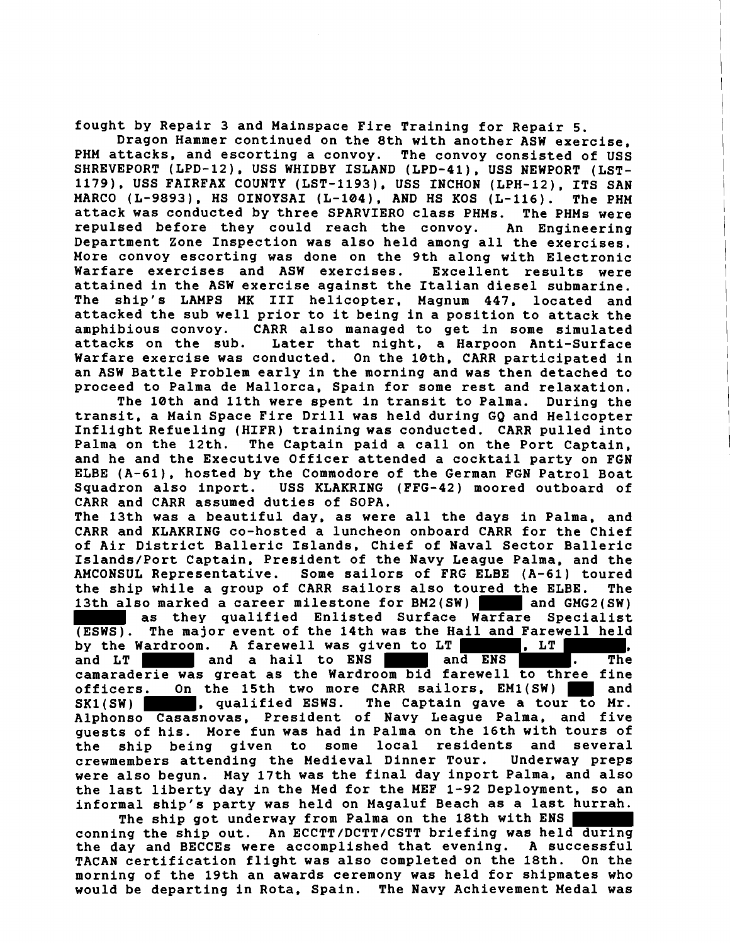fought by Repair 3 and Mainspace Fire Training for Repair 5.

Dragon Hammer continued on the 8th with another ASW exercise, PHM attacks, and escorting a convoy. The convoy consisted of USS SHREVEPORT (LPD-12), USS WHIDBY ISLAND (LPD-41), USS NEWPORT (LST-1179). USS FAIRFAX COUNTY (LST-1193). USS INCHON (LPH-12). ITS SAN MARC0 (L-9893), HS OINOYSAI (L-104). AND HS KOS (L-116). The PHM attack was conducted by three SPARVIERO class PHMs. The PHMs were repulsed before they could reach the convoy. An Engineering Department Zone Inspection was also held among all the exercises. More convoy escorting was done on the 9th along with Electronic Warfare exercises and ASW exercises. Excellent results were attained in the ASW exercise against the Italian diesel submarine. The ship's LAMPS MK I11 helicopter, Magnum 447, located and attacked the sub well prior to it being in a position to attack the<br>amphibious convoy. CARR also managed to get in some simulated CARR also managed to get in some simulated attacks on the sub. Later that night, a Harpoon Anti-Surface Warfare exercise was conducted. On the 10th. CARR participated in an ASW Battle Problem early in the morning and was then detached to proceed to Palma de Mallorca, Spain for some rest and relaxation.

The 10th and 11th were spent in transit to Palma. During the transit, a Main Space Fire Drill was held during GQ and Helicopter Inflight Refueling (HIFR) training was conducted. CARR pulled into Palma on the 12th. The Captain paid a call on the Port Captain, and he and the Executive Officer attended a cocktail party on FGN ELBE (A-61). hosted by the Commodore of the German FGN Patrol Boat Squadron also inport. USS KLAKRING (FFG-42) moored outboard of CARR and CARR assumed duties of SOPA.

The 13th was a beautiful day, as were all the days in Palma, and CARR and KLAKRING co-hosted a luncheon onboard CARR for the Chief of Air District Balleric Islands, Chief of Naval Sector Balleric Islands/Port Captain, President of the Navy League Palma, and the AMCONSUL Representative. Some sailors of FRG ELBE (A-61) toured the ship while a group of CARR sailors also toured the ELBE. The 13th also marked a career milestone for BM2(SW) and GMG2(SW)

as they qualified Enlisted Surface Warfare Specialist (ESWS). The major event of the 14th was the Hail and Farewell held<br>by the Wardroom. A farewell was given to LT **(2008)**. LT **CHAIL** by the Wardroom. A farewell was given to LT , LT , and LT and a hail to ENS and ENS . The camaraderie was great as the Wardroom bid farewell to three fine officers. On the 15th two more CARR sailors, EM1(SW) and SK1(SW) and SK1(SW) and SK1(SW) and SK1(SW) and SK1(SW) and SK1(SW) and SK1(SW) and SK1(SW) and SK1(SW) and SK1(SW) and SK1(SW) and SK1(SW) and SK1(SW) and SK1(SW) a The Captain gave a tour to Mr. Alphonso Casasnovas, President of Navy League Palma, and five guests of his. More fun was had in Palma on the 16th with tours of<br>the ship being given to some local residents and several the ship being given to crewmembers attending the Medieval Dinner Tour. Underway preps were also begun. May 17th was the final day inport Palma, and also the last liberty day in the Med for the HEF 1-92 Deployment, so an informal ship's party was held on Magaluf Beach as a last hurrah.

The ship got underway from Palma on the 18th with ENS conning the ship out. An ECCTT/DCTT/CSTT briefing was held during the day and BECCEs were accomplished that evening. A successful TACAN certification flight was also completed on the 18th. On the morning of the 19th an awards ceremony was held for shipmates who would be departing in Rota, Spain. The Navy Achievement Medal was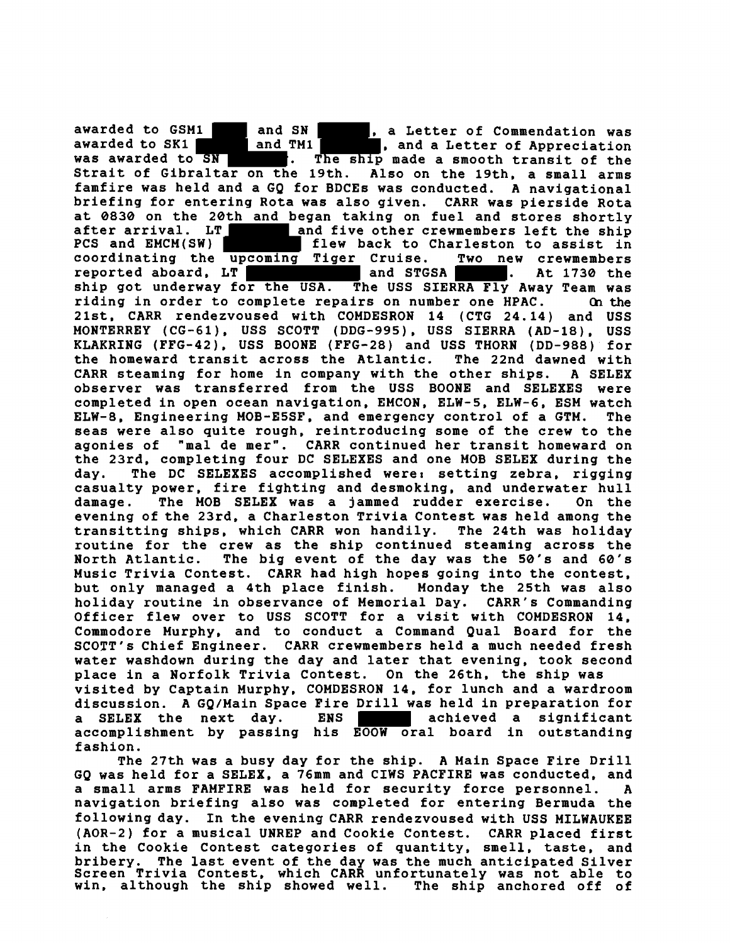awarded to GSM1 and SN , a Letter of Commendation was<br>awarded to SK1 and TM1 **and TM1**, and a Letter of Appreciation awarded to SK1 and TM1 , and a Letter of Appreciation was awarded to SN **and TM1**. The ship made a smooth transit of the **was The ship made a smooth transit of the Strait of Gibraltar on the 19th. Also on the 19th. a small arms famfire was held and a GQ for BDCEs was conducted. A navigational briefing for entering Rota was also given. CARR was pierside Rota at 0830 on the 20th and began taking on fuel and stores shortly after arrival. LT** and five other crewmembers left the ship<br>PCS and EMCM(SW) **PCS** flew back to Charleston to assist in flew back to Charleston to assist in **coordinating the upcoming Tiger Cruise. Two new crewmembers**  reported aboard, LT **and STGSA** . At 1730 the **ship got underway for the USA. The USS SIERRA Fly Away Team was riding in order to complete repairs on number one HPAC. Q1 the 21st, CARR rendezvoused with COMDESRON 14 (CTG 24.14) and USS MONTERREY (CG-61). USS SCOTT (DDG-995), USS SIERRA (AD-18). USS KLAKRING (FFG-42). USS BOONE (FFG-28) and USS THORN (DD-988) for the homeward transit across the Atlantic. The 22nd dawned with CARR steaming for home in company with the other ships. A SELEX observer was transferred from the USS BOONE and SELEXES were completed in open ocean navigation, EMCON, ELW-5, ELW-6, ESM watch ELW-8, Engineering MOB-E5SF, and emergency control of a GTM. The seas were also quite rough, reintroducing some of the crew to the agonies of "ma1 de mer". CARR continued her transit homeward on the 23rd, completing four DC SELEXES and one MOB SELEX during the day. The DC SELEXES accomplished were: setting zebra, rigging casualty power, fire fighting and desmoking, and underwater hull damage. The MOB SELEX was a jammed rudder exercise. On the evening of the 23rd, a Charleston Trivia Contest was held among the transitting ships, which CARR won handily. The 24th was holiday routine for the crew as the ship continued steaming across the North Atlantic. The big event of the day was the 50's and 60's Music Trivia Contest. CARR had high hopes going into the contest, but only managed a 4th place finish. Monday the 25th was also holiday routine in observance of Memorial Day. CARR's Commanding Officer flew over to USS SCOTT for a visit with COMDESRON 14, Commodore Murphy, and to conduct a Command Qua1 Board for the SCOTT'S Chief Engineer. CARR crewmembers held a much needed fresh water washdown during the day and later that evening, took second place in a Norfolk Trivia Contest. On the 26th. the ship was visited by Captain Murphy, COMDESRON 14, for lunch and a wardroom discussion. A GQ/Main Space Fire Drill was held in preparation for a SELEX** the next day. ENS **EXIM** achieved a significant **accomplishment by passing his EOOW oral board in outstanding fashion.** 

**The 27th was a busy day for the ship. A Main Space Fire Drill GQ was held for a SELEX, a 76mm and CIWS PACFIRE was conducted, and a small arms FAMFIRE was held for security force personnel. A navigation briefing also was completed for entering Bermuda the following day. In the evening CARR rendezvoused with USS MILWAUKEE (AOR-2) for a musical UNREP and Cookie Contest. CARR placed first in the Cookie Contest categories of quantity, smell, taste, and bribery. The last event of the day was the much anticipated Silver Screen Trivia Contest, which CARR unfortunately was not able to win, although the ship showed well. The ship anchored off of**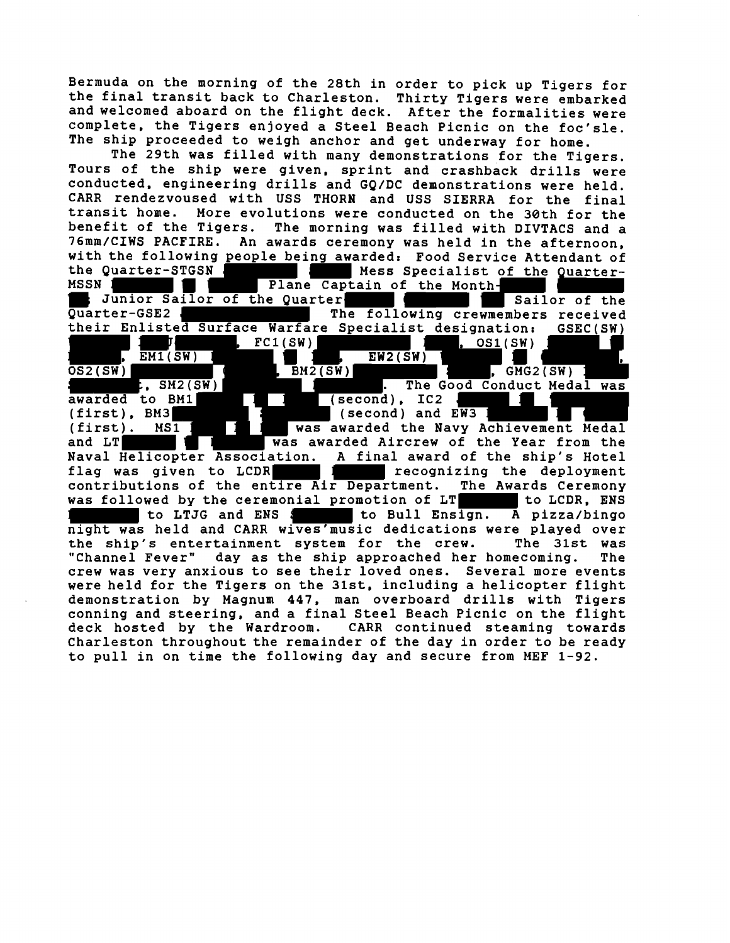Bermuda on the morning of the 28th in order to pick up Tigers for the final transit back to Charleston. Thirty Tigers were embarked and welcomed aboard on the flight deck. After the formalities were complete, the Tigers enjoyed a Steel Beach Picnic on the foc'sle. The ship proceeded to weigh anchor and get underway for home.

The 29th was filled with many demonstrations for the Tigers. Tours of the ship were given, sprint and crashback drills were conducted, engineering drills and GQ/DC demonstrations were held. CARR rendezvoused with USS THORN and USS SIERRA for the final transit home. More evolutions were conducted on the 30th for the The morning was filled with DIVTACS and a 76mm/CIWS PACFIRE. An awards ceremony was held in the afternoon, with the following people being awarded: Food Service Attendant of the Quarterthe Quarter-STGSN Mess Specialist of the Quarter-<br>MSSN 1 Mess Specialist of the Quarter-SN Plane Captain of the Month-<br>Sunior Sailor of the Quarter ; Junior Sailor of the Quarter- Sailor of the Sailor of the Quarter-GSE2 We are the following crewmembers received their Enlisted Surface Warfare Specialist designation: GSEC(SW) J , FCl(SW) , OSl(SW)  $\overline{OS2(SW)}$  ,  $\overline{EM1(SW)}$  ,  $\overline{SM}$  ,  $\overline{BM2(SW)}$ L, SM2(SW) , BM2(SW) , BM2(SW) , The Good Conduct Meda t, SM2(SW) **. The Good Conduct Medal was**<br>awarded to BM1 **. The Good Conduct Medal was** awarded to BM1 [1 ] (second), IC2<br>(first), BM3 [1 ] (second) and EW3 (first), BM3 (second) and EW3 (first), BM3 was awarded the Navy Achievement Medal<br>(first). MS1 1 Was awarded the Navy Achievement Medal<br>and LT 1 Was awarded Aircrew of the Year from the **Was awarded Aircrew of the Year from the** Naval Helicopter Association. A final award of the ship's Hotel flag was given to LCDR THE REAL recognizing the deployment contributions of the entire Air Department. The Awards Ceremony was followed by the ceremonial promotion of LT to LCDR, ENS to LTJG and ENS : to Bull Ensign. A pizza/bingo night was held and CARR wives'music dedications were played over<br>the ship's entertainment system for the crew. The 31st was the ship's entertainment system for the crew. The **31st** was day as the ship approached her homecoming. crew was very anxious to see their loved ones. Several more events were held for the Tigers on the 31st, including a helicopter flight demonstration by Magnum 447, man overboard drills with Tigers conning and steering, and a final Steel Beach Picnic on the flight deck hosted by the Wardroom. CARR continued steaming towards Charleston throughout the remainder of the day in order to be ready to pull in on time the following day and secure from MEF 1-92.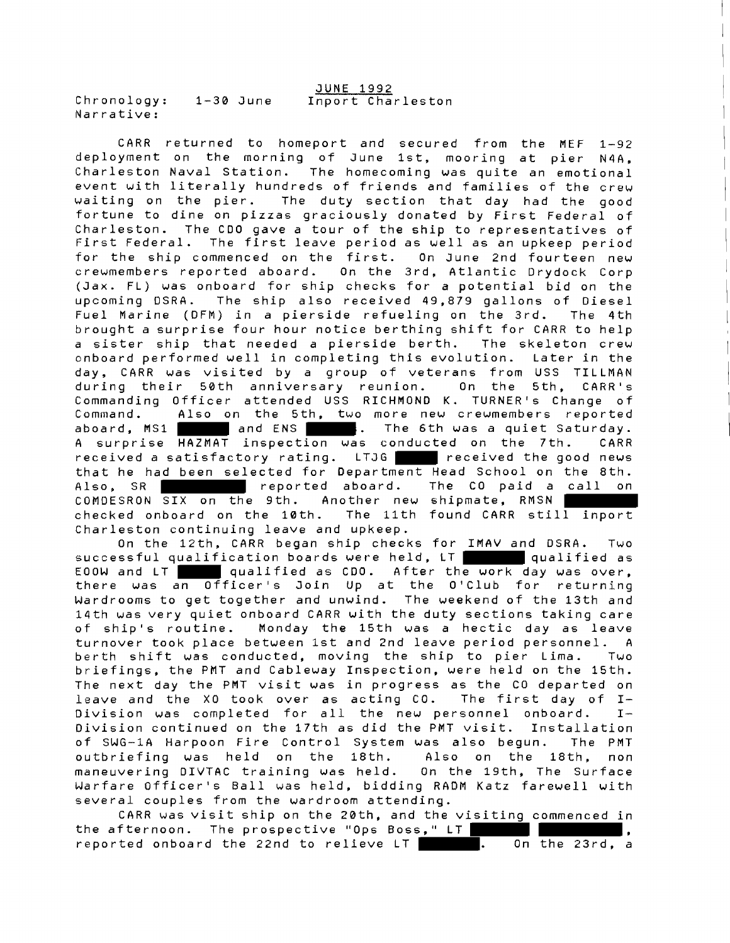JUNE 1992 Chronology: 1-30 June Inport Charleston Narrative:

CARR returned to homeport and secured from the MEF 1-92 deployment on the morning of June Ist, mooring at pier N4A, Charleston Naval Station. The homecoming was quite an emotional event with literally hundreds of friends and families of the crew waiting on the pier. The duty section that day had the good fortune to dine on pizzas graciously donated by First Federal of Charleston. The CDO gave a tour of the ship to representatives of First Federal. The first leave period as well as an upkeep period for the ship commenced on the first. On June 2nd fourteen new crewmembers reported aboard. On the 3rd, Atlantic Drydock Corp (Jax. FL) was onboard for ship checks for a potential bid on the upcoming DSRA. The ship also received 49,879 gallons of Diesel Fuel Marine (DFM) in a pierside refueling on the 3rd. The 4th brought a surprise four hour notice berthing shift for CARR to help a sister ship that needed a pierside berth. The skeleton crew onboard performed well in completing this evolution. Later in the day, CARR was visited by a group of veterans from USS TILLMAN during their 50th anniversary reunion. On the 5th, CARR's Commanding Officer attended USS RICHMOND K. TURNER'S Change of Command. Also on the 5th, two more new crewmembers reported aboard,  $MS1$  and ENS . The 6th was a quiet Saturday. A surprise HAZMAT inspection was conducted on the 7th. CARR received a satisfactory rating. LTJG received the good news that he had been selected for Department Head School on the 8th. Also, SR **Reported aboard.** The CO paid a call on COMDESRON SIX on the 9th. Another new shipmate, RMSN checked onboard on the 10th. The 11th found CARR still inport Charleston continuing leave and upkeep.

On the 12th, CARR began ship checks for IMAV and DSRA. Two successful qualification boards were held, LT qualified as EOOW and LT qualified as CDO. After the work day was over, there was an Officer's Join Up at the 0'Club for returning Wardrooms to get together and unwind. The weekend of the 13th and 14th was very quiet onboard CARR with the duty sections taking care of ship's routine. Monday the 15th was a hectic day as leave turnover took place between 1st and 2nd leave period personnel. A berth shift was conducted, moving the ship to pier Lima. Two briefings, the PMT and Cableway Inspection, were held on the 15th. The next day the PMT visit was in progress as the CO departed on<br>leave and the XO took over as acting CO. The first day of I-<br>Division was completed for all the new personnel onboard. I-<br>Division continued on the 17th as d leave and the XO took over as acting CO. The first day of **I-**Division continued on the 17th as did the PMT visit. Installation of SWG-14 Harpoon Fire Control System was also begun. The PMT outbriefing was held on the 18th. Also on the lath, non maneuvering DIVTAC training was held. On the 19th, The Surface Warfare Officer's Ball was held, bidding RADM Katz farewell with several couples from the wardroom attending.

CARR was visit ship on the 28th, and the visiting commenced in the afternoon. The prospective "Ops Boss," LT , reported onboard the 22nd to relieve LT . On the 23rd, a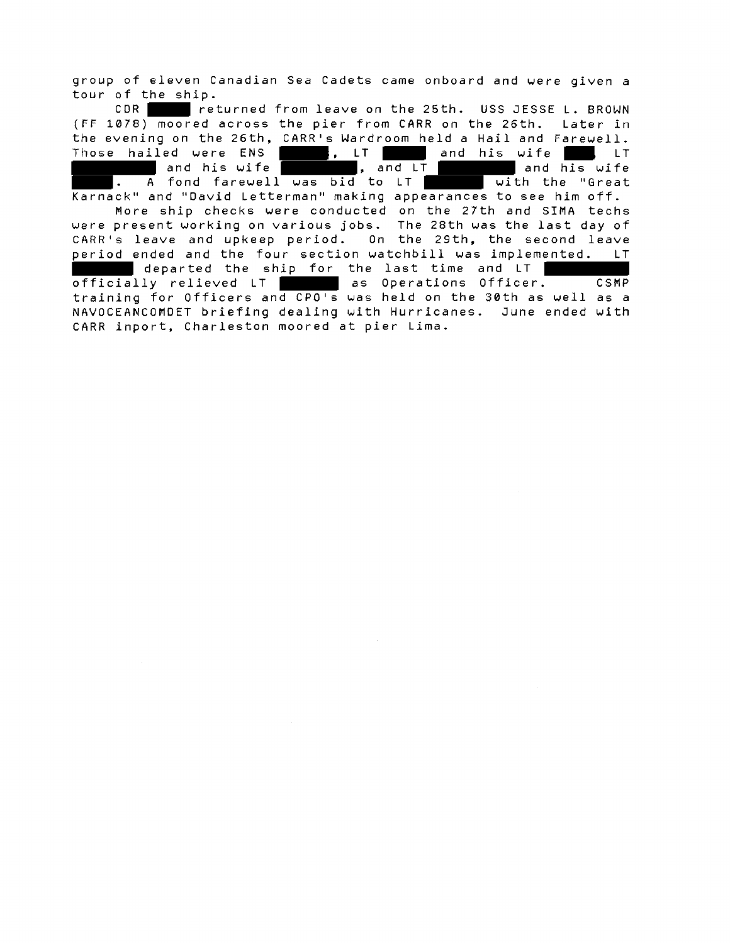group of eleven Canadian Sea Cadets came onboard and were given a tour of the ship.

CDR returned from leave on the 25th. USS JESSE L. BROWN (FF 1078) moored across the pier from CARR on the 26th. Later **in**  the evening on the 26th, CARR's Wardroom held a Hail and Farewell. Those hailed were ENS , LT and his wife LT and his wife **, and LT and his wife** , and LT and his wife . A fond farewell was bid to LT  $\qquad$  with the "Great Karnack" and "David Letterman" making appearances to see him off. More ship checks were conducted on the 27th and SIMA techs were present working on various jobs. The 28th was the last day of CARR's leave and upkeep period. On the 29th, the second leave period ended and the four section watchbill was implemented. LT departed the ship for the last time and LT officially relieved LT as Operations Officer. CSMP training for Officers and CPO's was held on the 38th as well as a NAVOCEANCOMDET briefing dealing with Hurricanes. June ended with CARR inport, Charleston moored at pier Lima.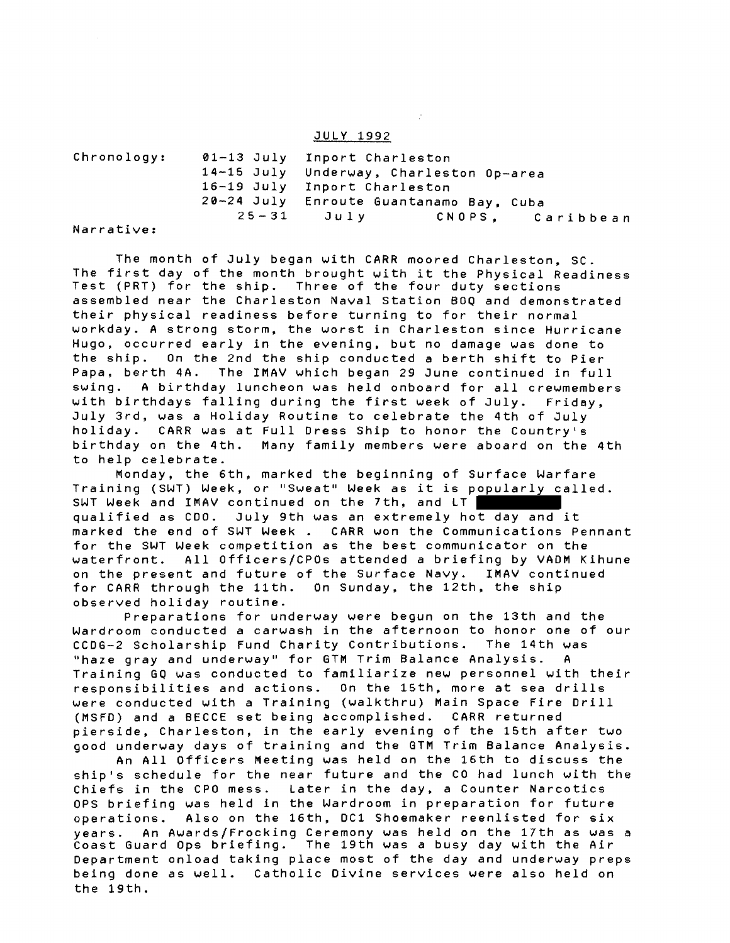#### JULY 1992

| Chronology:       | 01-13 July Inport Charleston |                                         |  |  |  |
|-------------------|------------------------------|-----------------------------------------|--|--|--|
|                   |                              | 14-15 July Underway, Charleston Op-area |  |  |  |
|                   |                              | 16-19 July Inport Charleston            |  |  |  |
|                   |                              | 20-24 July Enroute Guantanamo Bay, Cuba |  |  |  |
| $\cdots$ $\cdots$ |                              | $25 - 31$ July<br>CNOPS, Caribbean      |  |  |  |

Narrative:

The month of July began with CARR moored Charleston, SC. The first day of the month brought with it the Physical Readiness Test (PRT) for the ship. Three of the four duty sections assembled near the Charleston Naval Station BOQ and demonstrated their physical readiness before turning to for their normal workday. A strong storm, the worst in Charleston since Hurricane Hugo, occurred early in the evening, but no damage was done to the ship. On the 2nd the ship conducted a berth shift to Pier Papa, berth 4A. The IMAV which began 29 June continued in full swing. A birthday luncheon was held onboard for all crewmembers with birthdays falling during the first week of July. Friday, July 3rd, was a Holiday Routine to celebrate the 4th of July holiday. CARR was at Full Dress Ship to honor the Country's birthday on the 4th. Many family members were aboard on the 4th to help celebrate.

Monday, the 6th, marked the beginning of Surface Warfare Training (SWT) Week, or "Sweat" Week as it is popularly called. SWT Week and IMAV continued on the 7th, and LT qualified as CDO. July 9th was an extremely hot day and it marked the end of SWT Week . CARR won the Communications Pennant for the SWT Week competition as the best communicator on the waterfront. All Officers/CPOs attended a briefing by VADM Kihune on the present and future of the Surface Navy. IMAV continued for CARR through the 11th. On Sunday, the 12th, the ship observed holiday routine.

Preparations for underway were begun on the 13th and the Wardroom conducted a carwash in the afternoon to honor one of our CCDG-2 Scholarship Fund Charity Contributions. The 14th was "haze gray and underway" for GTM Trim Balance Analysis. A Training GQ was conducted to familiarize new personnel with their responsibilities and actions. On the 15th. more at sea drills were conducted with a Training (ualkthru) Main Space Fire Drill (MSFD) and a BECCE set being accomplished. CARR returned pierside, Charleston, in the early evening of the 15th after two good underway days of training and the GTM Trim Balance Analysis.

An All Officers Meeting was held on the 16th to discuss the ship's schedule for the near future and the CO had lunch with the Chiefs in the CPO mess. Later in the day, a Counter Narcotics OPS briefing was held in the Wardroom in preparation for future operations. Rlso on the 16th, DC1 Shoemaker reenlisted for six years. An Auards/Frocking Ceremony was held on the 17th as was a Coast Guard Ops briefing. The 19th was a busy day with the Air Department onload taking place most of the day and underway preps being done as well. Catholic Divine services were also held on the 19th.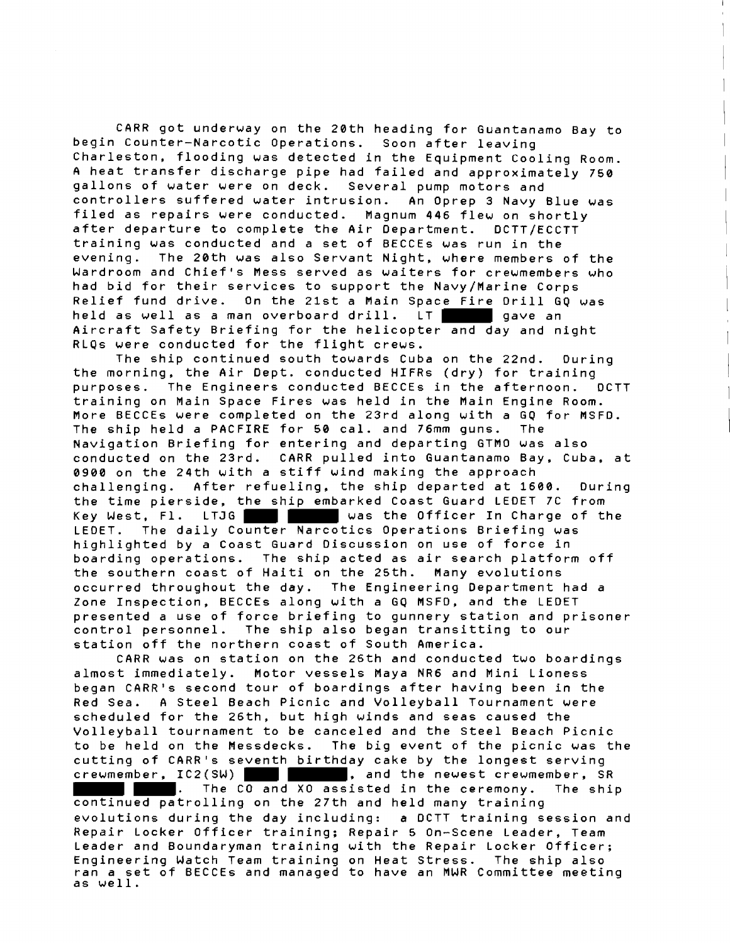CARR got underway on the 20th heading for Guantanamo Bay to begin Counter-Narcotic Operations. Soon after leaving Charleston, flooding was detected in the Equipment Cooling Room. A heat transfer discharge pipe had failed and approximately 750 gallons of water were on deck. Several pump motors and controllers suffered water intrusion. An Oprep 3 Navy Blue was filed as repairs were conducted. Magnum 446 flew on shortly after departure to complete the Air Department. DCTT/ECCTT training was conducted and a set of BECCEs was run in the evening. The 20th was also Servant Night, where members of the Wardroom and Chief's Mess served as waiters for crewmembers who had bid for their services to support the Navy/Marine Corps Relief fund drive. On the 21st a Main Space Fire Drill GQ was held as well as a man overboard drill. LT Aircraft Safety Briefing for the helicopter and day and night RLQs were conducted for the flight crews.

The ship continued south towards Cuba on the 22nd. During the morning, the Air Dept. conducted HIFRs (dry) for training purposes. The Engineers conducted BECCEs in the afternoon. DCTT training on Main Space Fires was held in the Main Engine Room. More BECCEs were completed on the 23rd along with a GQ for MSFD. The ship held a PACFIRE for **50** cal. and 76mm guns. The Navigation Briefing for entering and departing GTMO was also conducted on the 23rd. CARR pulled into Guantanamo Bay, Cuba, at 0900 on the 24th with a stiff wind making the approach challenging. After refueling, the ship departed at 1608. During the time pierside, the ship embarked Coast Guard LEDET 7C from Key West, Fl. LTJG **WARE THE WAS the Officer In Charge of the** LEDET. The daily Counter Narcotics Operations Briefing was highlighted by a Coast Guard Discussion on use of force in boarding operations. The ship acted as air search platform off the southern coast of Haiti on the 25th. Many evolutions occurred throughout the day. The Engineering Department had a Zone Inspection, BECCEs along with a GQ MSFD, and the LEDET presented a use of force briefing to gunnery station and prisoner control personnel. The ship also began transitting to our station off the northern coast of South America.

CARR was on station on the 26th and conducted two boardings almost immediately. Motor vessels Maya NR6 and Mini Lioness began CARRis second tour of boardings after having been in the Red Sea. **A** Steel Beach Picnic and Volleyball Tournament were scheduled for the 26th, but high winds and seas caused the Volleyball tournament to be canceled and the Steel Beach Picnic to be held on the Messdecks. The big event of the picnic was the cutting of CARRis seventh birthday cake by the longest serving crewmember, IC2(SW) **details and the newest crewmember**, SR . The CO and XO assisted in the ceremony. The ship continued patrolling on the 27th and held many training

evolutions during the day including: a DCTT training session and Repair Locker Officer training; Repair 5 On-Scene Leader, Team Leader and Boundaryman training with the Repair Locker Officer; Engineering Watch Team training on Heat Stress. The ship also ran a set of BECCEs and managed to have an MWR Committee meeting as well.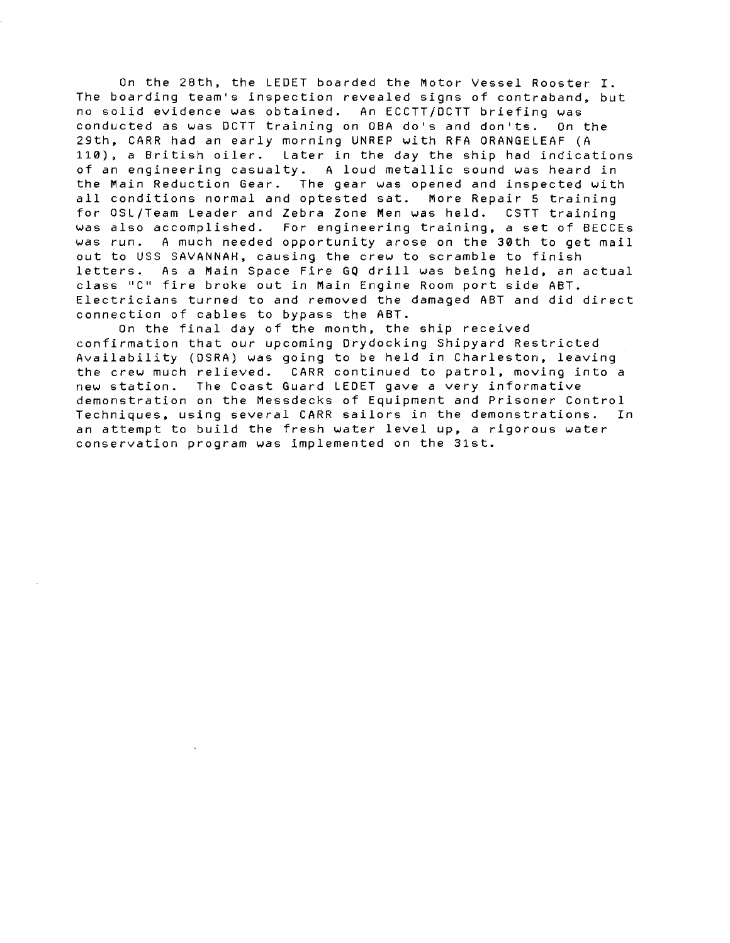On the 28th, the LEDET boarded the Motor Vessel Rooster I. The boarding team's inspection revealed signs of contraband, but no solid evidence was obtained. An ECCTT/DCTT briefing was conducted as was DCTT training on OBA do's and don'ts. On the 29th, CARR had an early morning UNREP with RFA ORANGELEAF (A **110),** a British oiler. Later in the day the ship had indications of an engineering casualty. A loud metallic sound was heard in the Main Reduction Gear. The gear was opened and inspected with all conditions normal and optested sat. More Repair **5** training for OSL/Team Leader and Zebra Zone Men was held. CSTT training was also accomplished. For engineering training, a set of BECCEs was run. A much needed opportunity arose on the 30th to get mail out to USS SAVANNAH, causing the crew to scramble to finish letters. As a Main Space Fire GQ drill was being held, an actual class "C" fire broke out in Main Engine Room port side ABT. Electricians turned to and removed the damaged ABT and did direct connection of cables to bypass the ABT.

On the final day of the month, the ship received confirmation that our upcoming Drydocking Shipyard Restricted Availability (DSRA) was going to be held in Charleston, leaving<br>the crew much relieved. CARR continued to patrol, moving into a CARR continued to patrol, moving into a new station. The Coast Guard LEDET gave a very informative demonstration on the Messdecks of Equipment and Prisoner Control Techniques, using several CARR sailors in the demonstrations. In an attempt to build the fresh water level up, a rigorous water conservation program was implemented on the 31st.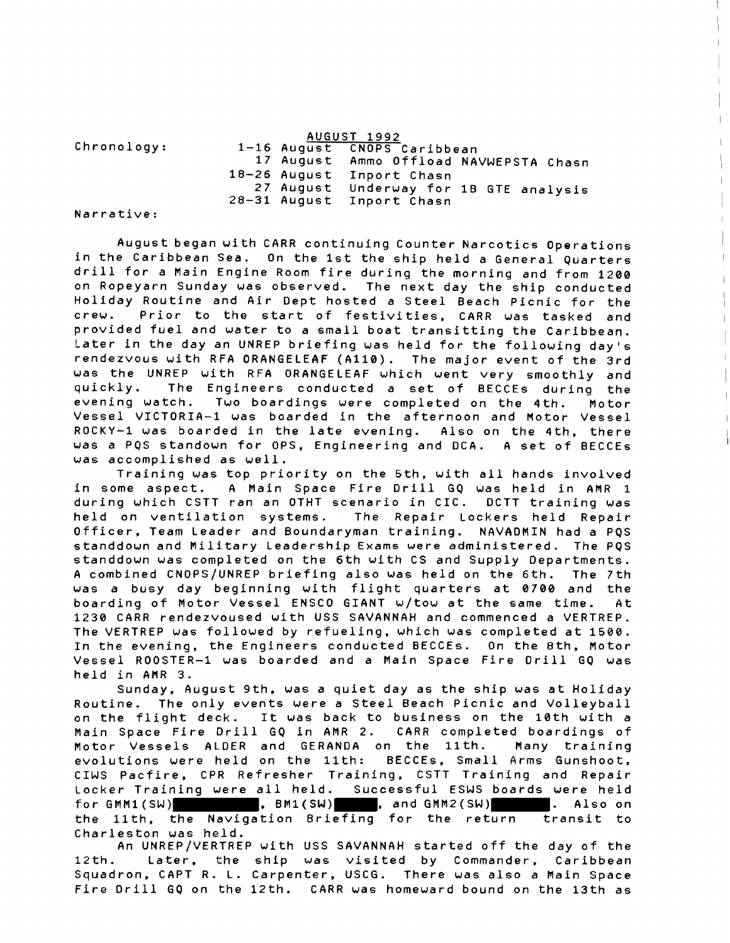|                                            |  | AUGUST 1992                 |                                        |
|--------------------------------------------|--|-----------------------------|----------------------------------------|
| Chronology:                                |  | 1-16 August CNOPS Caribbean |                                        |
|                                            |  |                             | 17 August Ammo Offload NAVWEPSTA Chasn |
|                                            |  | 18-26 August Inport Chasn   |                                        |
|                                            |  |                             | 27 August Underway for 1B GTE analysis |
|                                            |  | 28-31 August Inport Chasn   |                                        |
| <b>ALCOHOL: ALCOHOL: ALCOHOL: ALCOHOL:</b> |  |                             |                                        |

Narrative:

August began with CARR continuing Counter Narcotics Operations in the Caribbean Sea. On the 1st the ship held a General Quarters drill for a Main Engine Room fire during the morning and from 1208 on Ropeyarn Sunday was observed. The next day the ship conducted Holiday Routine and Air Dept hosted a Steel Beach Picnic for the crew. Prior to the start of festivities, CARR was tasked and provided fuel and water to a small boat transitting the Caribbean. Later in the day an UNREP briefing was held for the following day's rendezvous with RFA ORANGELEAF (4110). The major event of the 3rd was the UNREP with RFA ORANGELEAF which went very smoothly and quickly. The Engineers conducted a set of BECCEs during the evening watch. Two boardings were completed on the 4th. Motor Vessel VICTORIA-1 was boarded in the afternoon and Motor Vessel ROCKY-1 was boarded in the late evening. Also on the 4th, there was a PQS standoun for OPS, Engineering and DCA. A set of BECCEs was accomplished as well.

Training was top priority on the 5th, uith all hands involved in some aspect. A Main Space Fire Drill GQ was held in AMR 1 during which CSTT ran an OTHT scenario in CIC. DCTT training was held on ventilation systems. The Repair Lockers held Repair Officer, Team Leader and Boundaryman training. NAVADMIN had a PQS standdown and Military Leadership Exams were administered. The PQS standdown was completed on the 6th with CS and Supply Departments. A combined CNOPS/UNREP briefing also was held on the 6th. The 7th was a busy day beginning uith flight quarters at 8700 and the boarding of Motor Vessel ENSCO GIANT w/tow at the same time. At 1230 CARR rendezvoused with USS SAVANNAH and commenced a VERTREP. The VERTREP was followed by refueling, which was completed at 1580. In the evening, the Engineers conducted BECCEs. On the 8th, Motor Vessel ROOSTER-1 was boarded and a Main Space Fire Drill GQ was held in AMR 3.

Sunday, August 9th, was a quiet day as the ship was at Holiday Routine. The only events were a Steel Beach Picnic and Volleyball on the flight deck. It was back to business on the 10th with a<br>Main Space Fire Drill GQ in AMR 2. CARR completed boardings of Main Space Fire Drill GQ in AMR 2. Motor Vessels ALDER and GERANDA on the llth. Many training evolutions were held on the 11th: BECCEs, Small Arms Gunshoot, CIWS Pacfire, CPR Refresher Training, CSTT Training and Repair Locker Training were all held. Successful ESWS boards were held for GMM1(SW)  $\begin{bmatrix} 1 & 0 & 0 \\ 0 & 0 & 0 \\ 0 & 0 & 0 \end{bmatrix}$ , BM1(SW) , and GMM2(SW) the llth, the Navigation Briefing for the return transit to Charleston was held.

An UNREP/VERTREP with USS SAVANNAH started off the day of the 12th. Later, the ship was visited by Commander, Caribbean Squadron, CAPT R. L. Carpenter, USCG. There was also a Main Space Fire Drill GQ on the 12th. CARR was homeward bound on the 13th as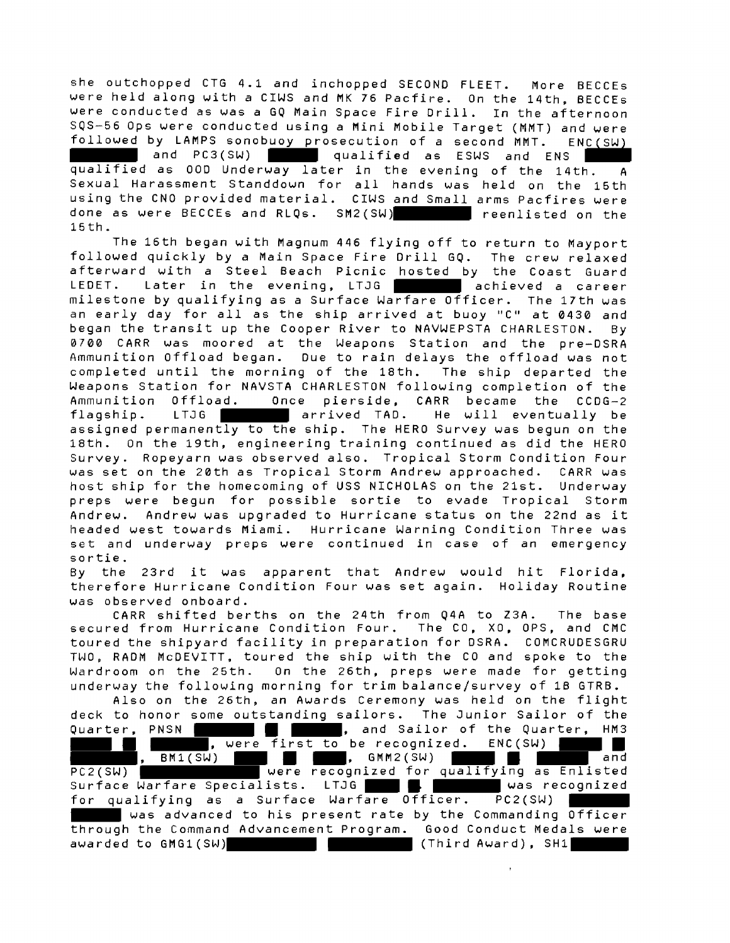she outchopped CTG 4.1 and inchopped SECOND FLEET. More BECCEs were held along with a CIWS and MK 76 Pacfire. On the 14th, BECCEs were conducted as was a GQ Main Space Fire Drill. In the afternoon SQS-56 Ops were conducted using a Mini Mobile Target (MMT) and were followed by LAMPS sonobuoy prosecution of a second MMT. ENC(SW)

and PC3(SW) qualified as ESWS and ENS qualified as 000 Underway later in the evening of the 14th. A Sexual Harassment Standdown for all hands was held on the 15th using the CNO provided material. CIWS and Small arms Pacfires were done as were BECCEs and RLQs. SM2(SW) **the set of the state of the state of the state of the state of the state of the state of the state of the state of the state of the state of the state of the state of the state of the** 15th.

The 16th began with Magnum 446 flying off to return to Mayport followed quickly by a Main Space Fire Drill GQ. The crew relaxed afterward with a Steel Beach Picnic hosted by the Coast Guard LEDET. Later in the evening, LTJG **and a chieved** a career milestone by qualifying as a Surface Warfare Officer. The 17th was an early day for all as the ship arrived at buoy "C" at 0430 and began the transit up the Cooper River to NAVWEPSTA CHARLESTON. By 0706 CARR was moored at the Weapons Station and the pre-DSRA Ammunition Offload began. Due to rain delays the offload was not completed until the morning of the 18th. The ship departed the Weapons Station for NAVSTA CHARLESTON following completion of the<br>Ammunition Offload. Once pierside, CARR became the CCDG-2 Once pierside, CARR became the CCDG-2 flagship. LTJG arrived TAD. He will eventually be assigned permanently to the ship. The HERO Survey was begun on the 18th. On the 19th, engineering training continued as did the HERO Survey. Ropeyarn was observed also. Tropical Storm Condition Four was set on the 20th as Tropical Storm Andrew approached. CARR was host ship for the homecoming of USS NICHOLAS on the 21st. Underway preps were begun for possible sortie to evade Tropical Storm Andrew. Andrew was upgraded to Hurricane status on the 22nd as it headed west towards Miami. Hurricane Warning Condition Three was set and underway preps uere continued in case of an emergency sortie.

By the 23rd it was apparent that Andrew would hit Florida, therefore Hurricane Condition Four was set again. Holiday Routine was observed onboard.

CARR shifted berths on the 24th from Q4A to Z3A. The base secured from Hurricane Condition Four. The CO, XO, QPS, and CMC toured the shipyard facility in preparation for DSRA. COMCRUDESGRU TWO, RAOM McDEVITT, toured the ship with the CO and spoke to the Wardroom on the 25th. On the 26th, preps uere made for getting underway the following morning for trim balance/survey of 1B GTRB.

Also on the 26th, an Awards Ceremony was held on the flight deck to honor some outstanding sailors. The Junior Sailor of the Quarter, PNSN , and Sailor of the Quarter, HM3 , were first to be recognized. ENC(SW) **of the solution of the solution of the solution of the solution of the solution of the solution of the solution**<br>PC2(SW) **CONTROVERY IN THE SOLUTION OF THE SOLUTION OF THE SOLUTION OF THE SOLUTION OF THE SOLUTION OF THE S** PC2(SW) were recognized for qualifying as Enlisted<br>Surface Warfare Specialists. LTJG **Article in the University** was recognized Surface Warfare Specialists. LTJG was recognized for qualifying as a Surface Warfare Officer. PC2(SW) **Was advanced to his present rate by the Commanding Officer** through the Command Advancement Program. Good Conduct Medals were awarded to GHGl(SW) (Third Award), SH1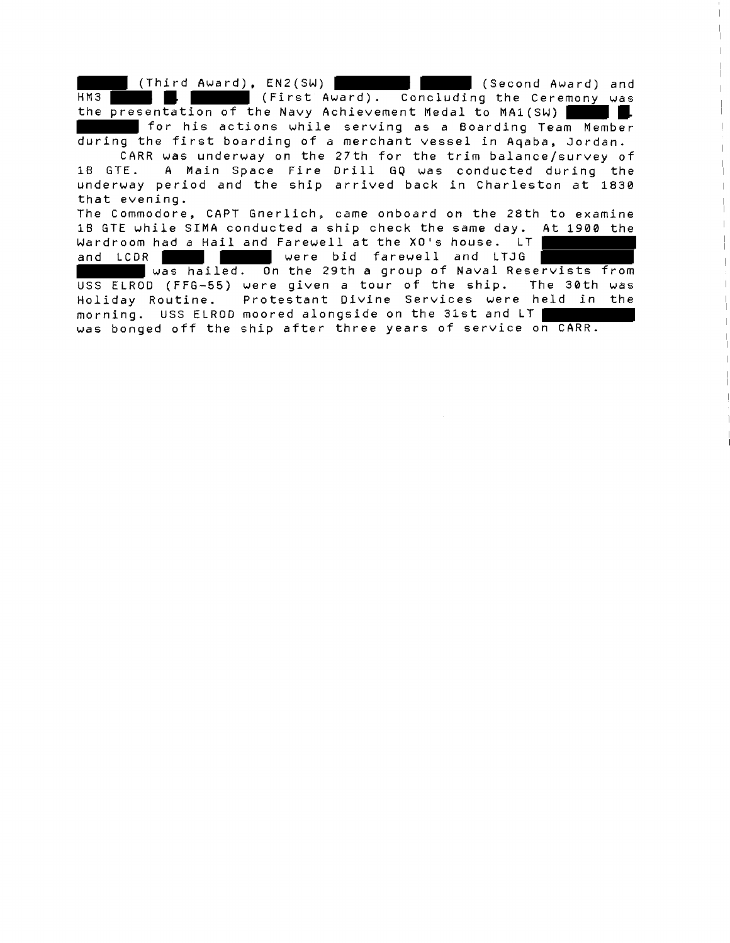(Third Award), ENZ(SW) (Second Award) and HM3 **(First Award).** Concluding the Ceremony was the presentation of the Navy Achievement Medal to MA1(SW) II. for his actions while serving as a Boarding Team Member during the first boarding of a merchant vessel in Aqaba, Jordan. CARR was underway on the 27th for the trim balance/survey of 1B GTE. A Main Space Fire Drill GQ was conducted during the underway period and the ship arrived back in Charleston at 1830 that evening. The Commodore, CAPT Gnerlich, came onboard on the 28th to examine 1B GTE while SZMA conducted a ship check the same day. At 1900 the Wardroom had a Hail and Farewell at the XO's house. LT and LCDR **were bid farewell and LTJG** was hailed. On the 29th a group of Naval Reservists from

USS ELROD (FFG-55) were given a tour of the ship. The 30th was Holiday Routine. Protestant Divine Services were held in the morning. USS ELROD moored alongside on the 31st and LT was bonged off the ship after three years of service on CARR.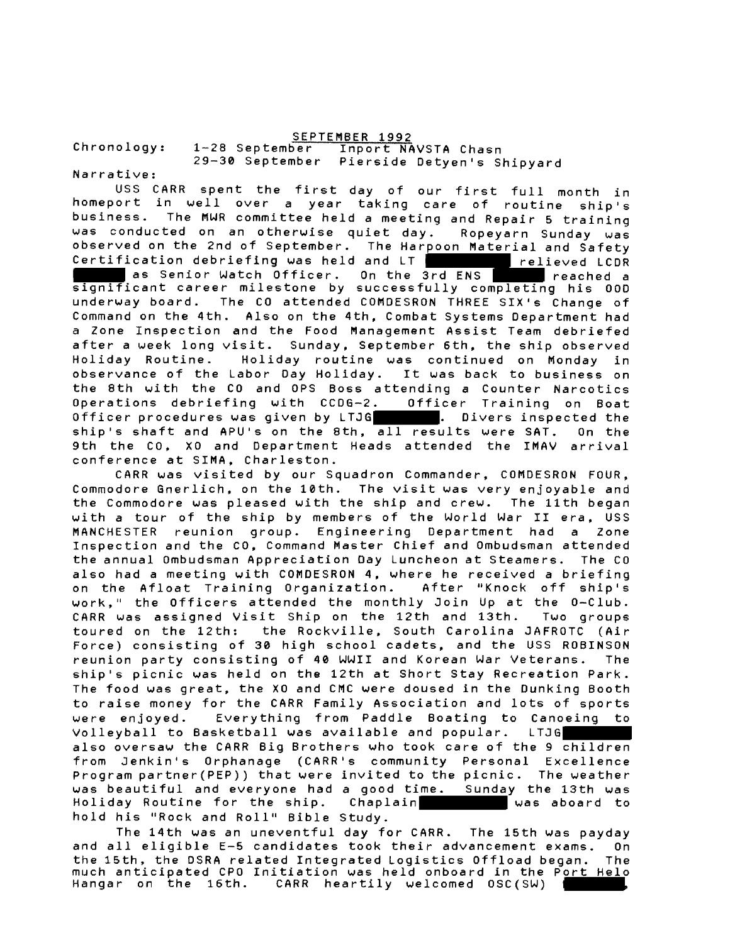SEPTEMBER 1992<br>1-28 September – Inport NA Chronology: 1-28 September Inport NAVSTA Chasn 29-30 September Pierside Detyen's Shipyard

Narrative:

USS CARR spent the first day of our first full month in homeport in well over a year taking care of routine ship's business. The MWR committee held a meeting and Repair **5** training was conducted on an otherwise quiet day. Ropeyarn Sunday was observed on the 2nd of September. The Harpoon Material and Safety Certification debriefing was held and LT **relieved LCDR** as Senior Watch Officer. On the 3rd ENS reached a significant career milestone by successfully completing his 00D underway board. The CO attended COMDESRON THREE SIX's Change of Command on the 4th. Also on the 4th, Combat Systems Department had a Zone Inspection and the Food Management Assist Team debriefed after a week long visit. Sunday, September 6th, the ship observed Holiday Routine. Holiday routine was continued on Monday in observance of the Labor Day Holiday. It was back to business on the 8th with the CO and QPS Boss attending a Counter Narcotics Operations debriefing with CCDG-2. Officer Training on Boat Officer procedures was given by LTJG . Divers inspected the ship's shaft and APU's on the 8th, all results were SAT. On the 9th the CO, XO and Department Heads attended the IMAV arrival conference at SIMA, Charleston.

CARR was visited by our Squadron Commander, COMDESRON FOUR, Commodore Gnerlich, on the 10th. The visit was very enjoyable and the Commodore was pleased with the ship and crew. The 11th began with a tour of the ship by members of the World War I1 era, USS MANCHESTER reunion group. Engineering Department had a Zone Inspection and the CO, Command Master Chief and Ombudsman attended the annual Ombudsman Appreciation Day Luncheon at Steamers. The CO also had a meeting with COMDESRON 4, where he received a briefing on the Afloat Training Organization. After "Knock off ship's work," the Officers attended the monthly Join Up at the 0-Club. CARR was assigned Visit Ship on the 12th and 13th. Two groups toured on the 12th: the Rockville, South Carolina JAFROTC (Air Force) consisting of 30 high school cadets, and the USS ROBINSON reunion party consisting of 40 WWII and Korean War Veterans. The ship's picnic was held on the 12th at Short Stay Recreation Park. The food was great, the XO and CMC were doused in the Dunking Booth to raise money for the CARR Family Association and lots of sports were enjoyed. Everything from Paddle Boating to Canoeing to Volleyball to Basketball was available and popular. LTJG also oversaw the CARR Big Brothers who took care of the 9 children from Jenkin's Orphanage (CARR's community Personal Excellence Program partner(PEP)) that were invited to the picnic. The weather was beautiful and everyone had a good time. Sunday the 13th was Holiday Routine for the ship. Chaplain **was aboard** to hold his "Rock and Roll" Bible Study.

The 14th was an uneventful day for CARR. The 15th was payday and all eligible **E-5** candidates took their advancement exams. On the 15th, the DSRA related Integrated Logistics Offload began. The much anticipated CPO Initiation was held onboard in the Po<u>rt Hel</u>o Hangar on the 16th. CARR heartily welcomed OSC(SW) ,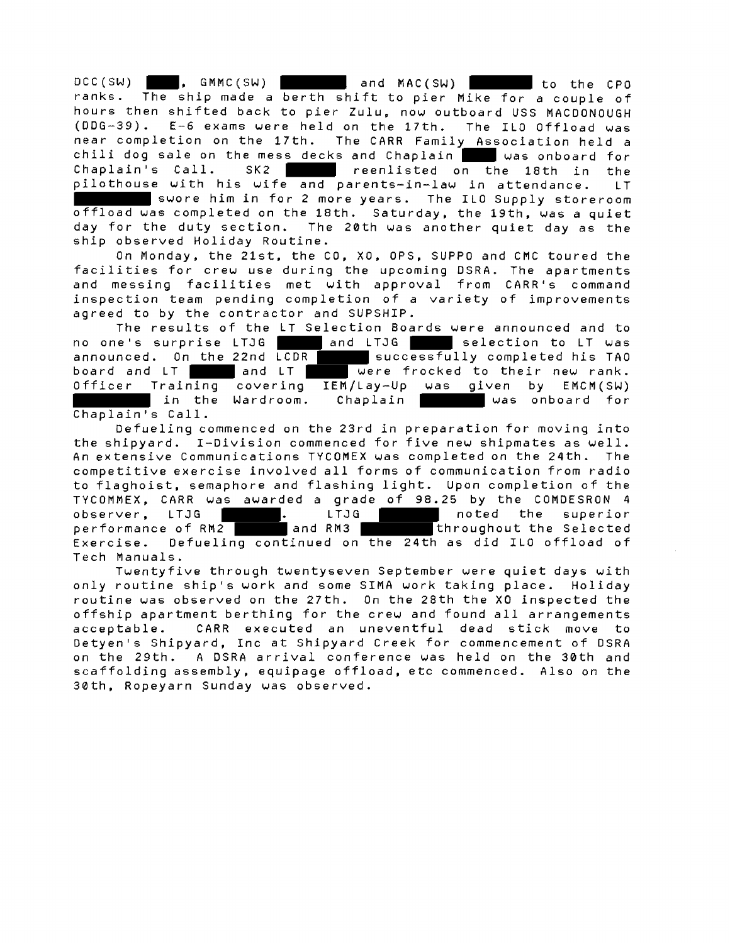DCC(SW) , GMMC(SW) l and MAC(SW) to the CPO ranks. The ship made a berth shift to pier Mike for a couple of hours then shifted back to pier Zulu, now outboard USS MACDONOUGH (DDG-39). E-6 exams were held on the 17th. The ILO Offload was near completion on the 17th. The CARR Family Association held a chili dog sale on the mess decks and Chaplain was onboard for  $Chaplain's Call.$  SK2 reenlisted on the 18th in the pilothouse with his wife and parents-in-law in attendance. LT swore him in for 2 more years. The ILO Supply storeroom offload was completed on the 18th. Saturday, the 19th. was a quiet day for the duty section. The 20th was another quiet day as the

ship observed Holiday Routine.

On Monday, the 21st, the CO, XO, OPS, SUPPO and CMC toured the facilities for crew use during the upcoming DSRA. The apartments and messing facilities met with approval from CARR's command inspection team pending completion of a variety of improvements agreed to by the contractor and SUPSHIP.

The results of the LT Selection Boards were announced and to no one's surprise LTJG and LTJG selection to LT was announced. On the 22nd LCDR successfully completed his TAO<br>board and LT and LT were frocked to their new rank. announced. On the zznu took were frocked to their new rank. Officer Training covering IEM/Lay-Up was given by EMCM(SW) In the Wardroom. Chaplain **was onboard** for Chaplain's Call.

Defueling commenced on the 23rd in preparation for moving into the shipyard. I-Division commenced for five new shipmates as well. An extensive Communications TYCOMEX was completed on the 24th. The competitive exercise involved all forms of communication from radio to flaghoist, semaphore and flashing light. Upon completion of the TYCOMMEX, CARR was awarded a grade of 98.25 by the COMDESRON 4<br>observer, LTJG **Film and LTJG The Conduct of the superior** observe that the superior . LTJG . LTJG . LTJG . LTJG . LTJG . LTJG . LTJG . LTJG . LTGG . LTGG . LTGG . LTGG <br>And RM3 . LTGG . LTGG . LTGG . LTGG . LTGG . LTGG . LTGG . LTGG . LTGG . LTGG . LTGG . LTGG . LTGG . LTGG . LT performance of RM2 and RM3 throughout the Selected Exercise. Defueling continued on the 24th as did ILO offload of Tech Manuals.

Twentyfive through twentyseven September were quiet days with only routine ship's work and some SIMA work taking place. Holiday routine was observed on the 27th. On the 28th the XO inspected the offship apartment berthing for the crew and found all arrangements acceptable. CARR executed an uneventful dead stick move to Detyen's Shipyard, Inc at Shipyard Creek for commencement of DSRA on the 29th. A DSRA arrival conference was held on the 30th and scaffolding assembly, equipage offload, etc commenced. Also on the 30th, Ropeyarn Sunday was observed.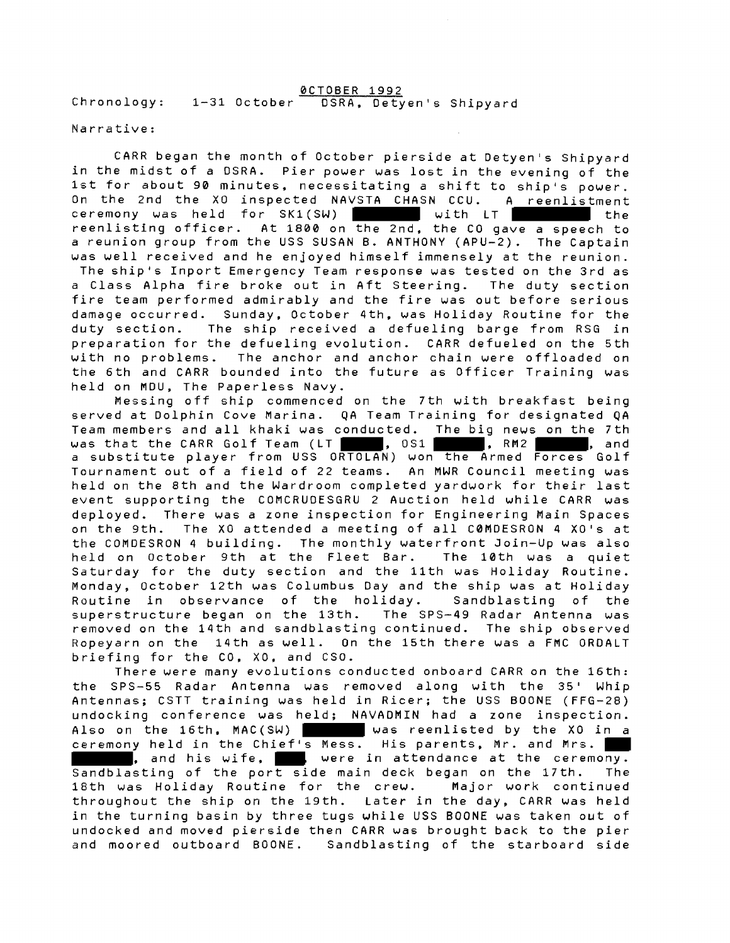1-31 October 0CTOBER 1992 Chronology: 1-31 October DSRA, Detyen's Shipyard

#### Narrative:

CARR began the month of October pierside at Detyen's Shipyard in the midst of a DSRA. Pier power was lost in the evening of the 1st for about 90 minutes, necessitating a shift to ship's power. On the 2nd the XO inspected NAVSTA CHASN CCU. A reenlistment ceremony was held for SK1(SW) with LT with LT reenlisting officer. At 1800 on the 2nd, the CO gave a speech to a reunion group from the USS SUSAN B. ANTHONY (APU-2). The Captain was well received and he enjoyed himself immensely at the reunion. The ship's Inport Emergency Team response was tested on the 3rd as a Class Alpha fire broke out in Aft Steering. The duty section fire team performed admirably and the fire was out before serious damage occurred. Sunday, October 4th, was Holiday Routine for the duty section. The ship received a defueling barge from RSG in preparation for the defueling evolution. CARR defueled on the 5th with no problems. The anchor and anchor chain were offloaded on the 6th and CARR bounded into the future as Officer Training was held on MDU, The Paperless Navy.

Messing off ship commenced on the 7th with breakfast being served at Dolphin Cove Marina. QA Team Training for designated **QA**  Team members and all khaki was conducted. The big news on the 7th was that the CARR Golf Team (LT , 051 , RM2 , RM2 , and a substitute player from USS ORTOLAN) won the Armed Forces Golf Tournament out of a field of 22 teams. An MWR Council meeting was held on the 8th and the Wardroom completed yardwork for their last event supporting the COMCRUDESGRU 2 Auction held while CARR was deployed. There was a zone inspection for Engineering Main Spaces on the 9th. The XO attended a meeting of all COMDESRON 4 XO's at the COMOESRON 4 building. The monthly waterfront Join-Up was also held on October 9th at the Fleet Bar. The 10th was a quiet Saturday for the duty section and the 11th was Holiday Routine. Monday, October 12th was Columbus Day and the ship was at Holiday Rautine in observance of the holiday. Sandblasting of the superstructure began on the 13th. The SPS-49 Radar Antenna was removed on the 14th and sandblasting continued. The ship observed Ropeyarn on the 14th as well. On the 15th there was a FMC ORDALT briefing for the CO, XO, and CSO.

There were many evolutions conducted onboard CARR on the 16th: the SPS-55 Radar Antenna was removed along with the 35' Whip Antennas; CSTT training was held in Ricer; the USS BOONE (FFG-28) undocking conference was held; NAVADMIN had a zone inspection. Also on the 16th, MAC(SW) was reenlisted by the XO in a ceremony held in the Chief's Mess. His parents, Mr. and Mrs. , and his wife, were in attendance at the ceremony. Sandblasting of the port side main deck began on the 17th. The 18th was Holiday Routine for the crew. Major work continued throughout the ship on the 19th. Later in the day, CARR was held in the turning basin by three tugs while USS BOONE was taken out of undocked and moved pierside then CARR was brought back to the pier and moored outboard BOONE. Sandblasting of the starboard side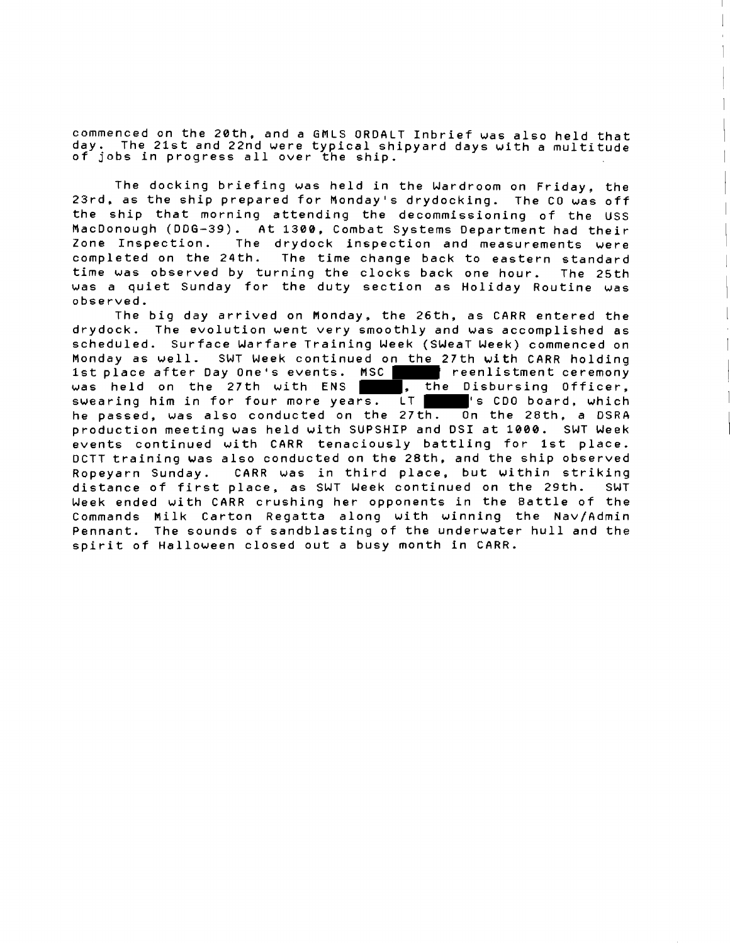commenced on the 2Bth, and a GHLS ORDALT Inbrief was also held that day. The 21st and 22nd were typical shipyard days with a multitude of jobs in progress all over the ship.

The docking briefing was held in the Wardroom on Friday, the 23rd, as the ship prepared for Monday's drydocking. The CO was off the ship that morning attending the decommissioning of the USS MacDonough (DOG-39). At **1306,** Combat Systems Department had their Zone Inspection. The drydock inspection and measurements were completed on the 24th. The time change back to eastern standard time was observed by turning the clocks back one hour. The 25th was a quiet Sunday for the duty section as Holiday Routine was observed.

The big day arrived on Monday, the 26th, as CARR entered the drydock. The evolution went very smoothly and was accomplished as scheduled. Surface Warfare Training Week (SWeaT Week) commenced on Monday as well. SWT Week continued on the 27th with CARR holding 1st place after Day One's events. MSC | reenlistment ceremony was held on the 27th with ENS  $\blacksquare$ , the Disbursing Officer, swearing him in for four more years. LT is CDO board, which he passed, was also conducted on the 27th. On the 28th, a DSRA production meeting was held with SUPSHIP and DSI at 1000. SWT Week events continued with CARR tenaciously battling for 1st place. DCTT training was also conducted on the 28th, and the ship observed Ropeyarn Sunday. CARR was in third place, but within striking distance of first place, **as** SWT Week continued on the 29th. SWT Week ended with CARR crushing her opponents in the Battle of the Commands Milk Carton Regatta along with winning the Nav/Admin Pennant. The sounds of sandblasting of the underwater hull and the spirit of Halloween closed out a busy month in CARR.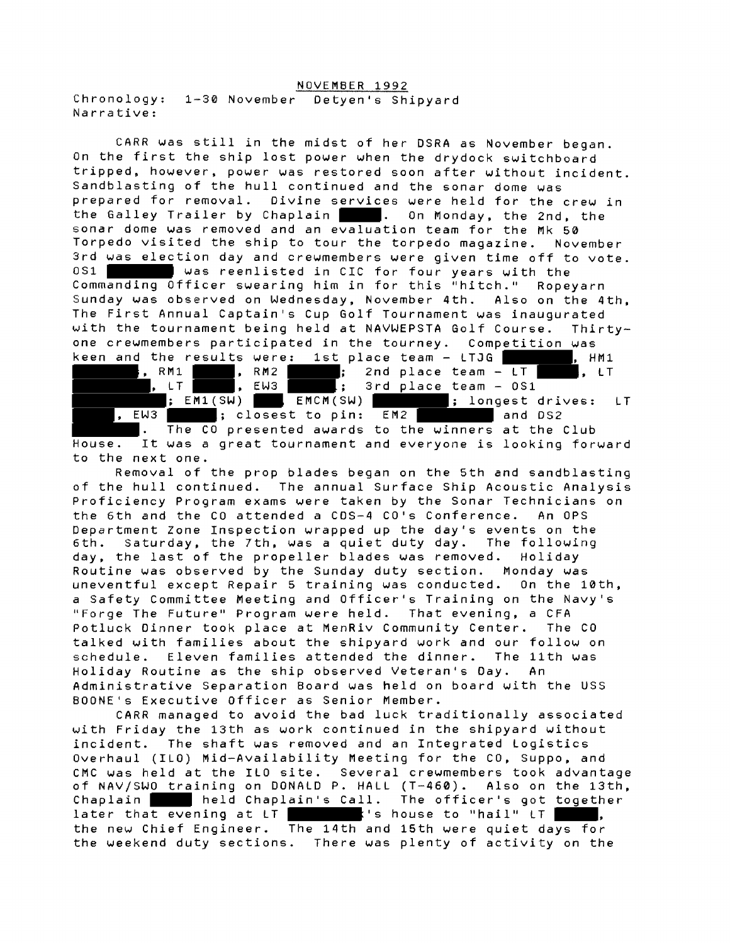#### NOVEMBER 1992

Chronology: 1-30 November Detyen's Shipyard Narrative:

CARR was still in the midst of her DSRA as November began. On the first the ship lost power when the drydock switchboard tripped, however, power was restored soon after without incident. Sandblasting of the hull continued and the sonar dome was prepared for removal. Divine services were held for the crew in the Galley Trailer by Chaplain | . On Monday, the 2nd, the sonar dome was removed and an evaluation team for the Mk 50 Torpedo visited the ship to tour the torpedo magazine. November 3rd was election day and crewmembers were given time off to vote. OS1 was reenlisted in CIC for four years with the Commanding Officer swearing him in for this "hitch." Ropeyarn Sunday was observed on Wednesday, November 4th. Also on the 4th, The First Annual Captain's Cup Golf Tournament was inaugurated with the tournament being held at NAVWEPSTA Golf Course. Thirtyone crewmembers participated in the tourney. Competition was one crewmembers participated in the tourney. Competition was<br><u>keen and</u> the r<u>esult</u>s were<u>: 1st</u> place team - LTJG [NAM1], HM1 the results were: Ist place team - Liju<br>, RM1 , RM2 , PM2 , 2nd place team - LT , LT

, LT , EW3 l; 3rd place team - OS1  $\frac{1}{2}$  EM1(SW)  $\frac{1}{2}$  EMCM(SW) , EW3 ; closest to pin: EM2 and DS2 . The CO presented awards to the winners at the Club House. It was a great tournament and everyone is looking forward to the next one.

Removal of the prop blades began on the 5th and sandblasting of the hull continued. The annual Surface Ship Acoustic Analysis Proficiency Program exams were taken by the Sonar Technicians on the 6th and the CO attended a CDS-4 CO's Conference. An OPS Department Zone Inspection wrapped up the day's events on the 6th. Saturday, the 7th, was a quiet duty day. The following day, the last of the propeller blades was removed. Holiday Routine was observed by the Sunday duty section. Monday was uneventful except Repair 5 training was conducted. On the 10th, a Safety Committee Meeting and Officer's Training on the Navy's "Forge The Future" Program were held. That evening, a CFA Potluck Dinner took place at MenRiv Community Center. The CO talked with families about the shipyard work and our follow on schedule. Eleven families attended the dinner. The 11th was Holiday Routine as the ship observed Veteran's Day. An Administrative Separation Board was held on board with the USS BOONE1s Executive Officer as Senior Member.

CARR managed to avoid the bad luck traditionally associated with Friday the 13th as work continued in the shipyard without incident. The shaft was removed and an Integrated Logistics Overhaul (ILO) Mid-Availability Meeting for the CO, Suppo, and CMC was held at the ILO site. Several crewmembers took advantage of NAV/SWO training on DONALD P. HALL (T-460). Also on the 13th, Chaplain held Chaplain's Call. The officer's got together  $\frac{1}{100}$  at  $\frac{1}{100}$  at  $\frac{1}{100}$  at  $\frac{1}{100}$  at  $\frac{1}{100}$  ,  $\frac{1}{100}$  ,  $\frac{1}{100}$  ,  $\frac{1}{100}$  ,  $\frac{1}{100}$  ,  $\frac{1}{100}$  ,  $\frac{1}{100}$  ,  $\frac{1}{100}$  ,  $\frac{1}{100}$  ,  $\frac{1}{100}$  ,  $\frac{1}{100}$  ,  $\frac{1}{1$ the new Chief Engineer. The 14th and 15th were quiet days for the weekend duty sections. There was plenty of activity on the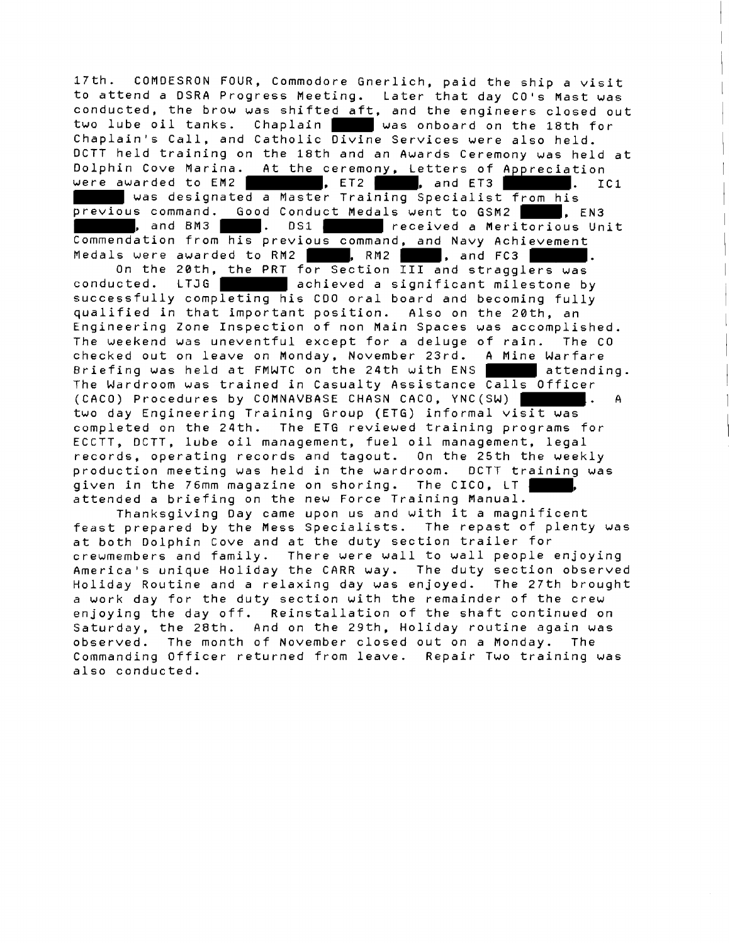17th. COMDESRON FOUR, Commodore Gnerlich, paid the ship a visit to attend a DSRA Progress Meeting. Later that day CO's Mast was conducted, the brow was shifted aft, and the engineers closed out two lube oil tanks. Chaplain was onboard on the 18th for Chaplain's Call, and Catholic Divine Services were also held. DCTT held training on the 18th and an Awards Ceremony was held at Dolphin Cove Marina. At the ceremony, Letters of Appreciation were awarded to EM2  $\blacksquare$ , ET2 , and ET3  $\blacksquare$ . IC1 was designated a Master Training Specialist from his previous command. Good Conduct Medals went to GSM2 , EN3 , and BM3 . DS1 received a Meritorious Unit Commendation from his previous command, and Navy Achievement<br>Medals were awarded to RM2 , RM2 , and FC3 , On the 20th, the PRT for Section III and stragglers was Medals were awarded to RM2 , RM2 , and FC3 conducted. LTJG achieved a significant milestone by successfully completing his CDO oral board and becoming fully qualified in that important position. Also on the 20th, an Engineering Zone Inspection of non Main Spaces was accomplished. The weekend was uneventful except for a deluge of rain. The CO checked out on leave on Monday, November 23rd. **A** Mine Warfare Briefing was held at FMWTC on the 24th with ENS attending. The Wardroom was trained in Casualty Assistance Calls Officer (CACO) Procedures by COMNAVBASE CHASN CACO, YNC(SW) l. **<sup>A</sup>** two day Engineering Training Group (ETG) informal visit was completed on the 24th. The ETG reviewed training programs for ECCTT, DCTT, lube oil management, fuel oil management, legal records, operating records and tagout. On the 25th the weekly production meeting was held in the wardroom. DCTT training was given in the 76mm magazine on shoring. The CICO, LT ,

Thanksgiving Day came upon us and with it a magnificent feast prepared by the Mess Specialists. The repast of plenty was at both Dolphin Cove and at the duty section trailer for crewmembers and family. There were wall to wall people enjoying America's unique Holiday the CARR way. The duty section observed Holiday Routine and a relaxing day was enjoyed. The 27th brought a work day for the duty section with the remainder of the crew enjoying the day off. Reinstallation of the shaft continued on Saturday, the 28th. And on the 29th, Holiday routine again was observed. The month of November closed out on a Monday. The Commanding Officer returned from leave. Repair Two training was also conducted.

attended a briefing on the new Force Training Manual.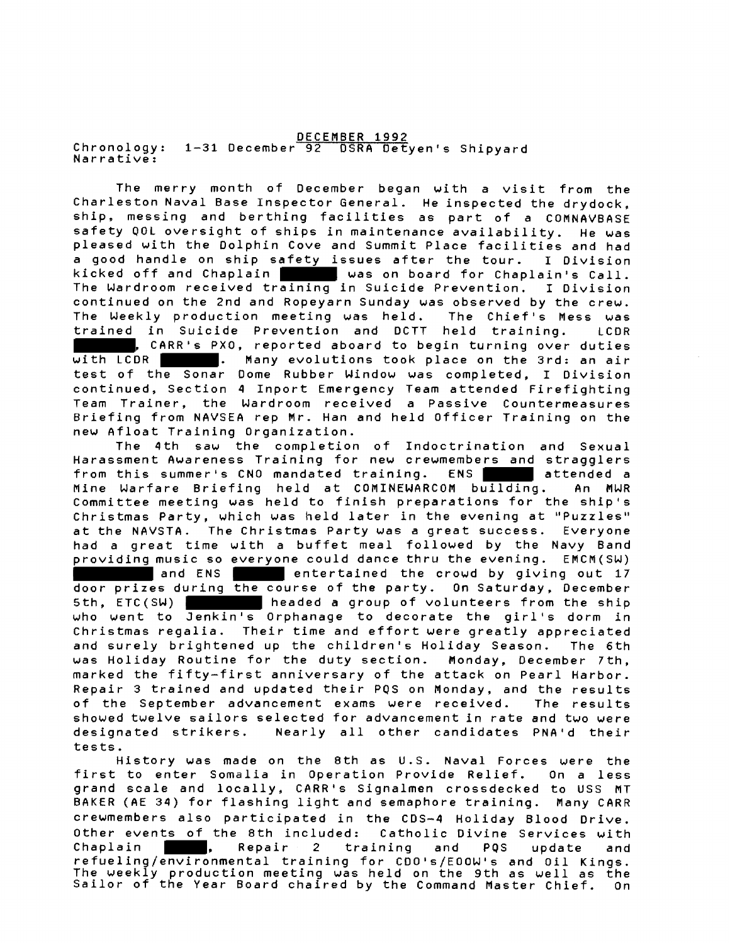DECEMBER 1992 Chronology: 1-31 December 92 OSRA Detyen's Shipyard Narrative:

The merry month of December began with a visit from the Charleston Naval Base Inspector General. He inspected the drydock, ship, messing and berthing facilities as part of a COMNAVBASE safety QOL oversight of ships in maintenance availability. He was pleased with the Dolphin Cove and Summit Place facilities and had a good handle on ship safety issues after the tour. I Division<br>kicked off and Chaplain was on board for Chaplain's Call.<br>The Wardroom received training in Suicide Prevention. I Division<br>continued on the 2nd and Benouver Su kicked off and Chaplain l was on board for Chaplain's Call. continued on the 2nd and Ropeyarn Sunday was observed by the crew. The Weekly production meeting was held. The Chief's Mess was trained in Suicide Prevention and DCTT held training. LCDR **THE TERR'S PXO, reported aboard to begin turning over duties**<br>
with LCDR **CARR's PXO, reported aboard to begin turning over duties**<br>
test of the Sonar Dome Rubber Window was completed, I Division<br>
continued Section 4 Inpo with LCDR . Many evolutions took place on the 3rd: an air continued, Section 4 Inport Emergency Team attended Firefighting Team Trainer, the Wardroom received a Passive Countermeasures Briefing from NAVSEA rep Mr. Han and held Officer Training on the new Afloat Training Organization.

The 4th saw the completion of Indoctrination and Sexual Harassment Awareness Training for new crewmembers and stragglers from this summer's CNO mandated training. ENS attended a Mine Warfare Briefing held at COMINEWARCOM building. An MWR Committee meeting was held to finish preparations for the ship's Christmas Party, which was held later in the evening at "Puzzles" at the NAVSTA. The Christmas Party was a great success. Everyone had a great time with a buffet meal followed by the Navy Band providing music so everyone could dance thru the evening. EMCM(SW) and ENS **entertained the crowd by giving out 17** door prizes during the course of the party. On Saturday, December<br>5th, ETC(SW) headed a group of volunteers from the ship who went to Jenkin's Orphanage to decorate the girl's dorm in Christmas regalia. Their time and effort were greatly appreciated and surely brightened up the children's Holiday Season. The 6th was Holiday Routine for the duty section. Monday, December 7th, marked the fifty-first anniversary of the attack on Pearl Harbor. Repair 3 trained and updated their PQS on Monday, and the results of the September advancement exams were received. The results showed twelve sailors selected for advancement in rate and two were designated strikers. Nearly all other candidates PNA'd their tests.

History was made on the 8th as U.S. Naval Forces were the first to enter Somalia in Operation Provide Relief. On a less grand scale and locally, CARR's Signalmen crossdecked to USS MT BAKER (AE 34) for flashing light and semaphore training. Many CARR crewmembers also participated in the CDS-4 Holiday Blood Drive. Other events of the 8th included: Catholic Divine Services with Chaplain , Repair 2 training and PQS update and refueling/environmental training for CDO's/EOOW's and Oil Kings. The weekly production meeting was held on the 9th as well as the Sailor of the Year Board chaired by the Command Master Chief. On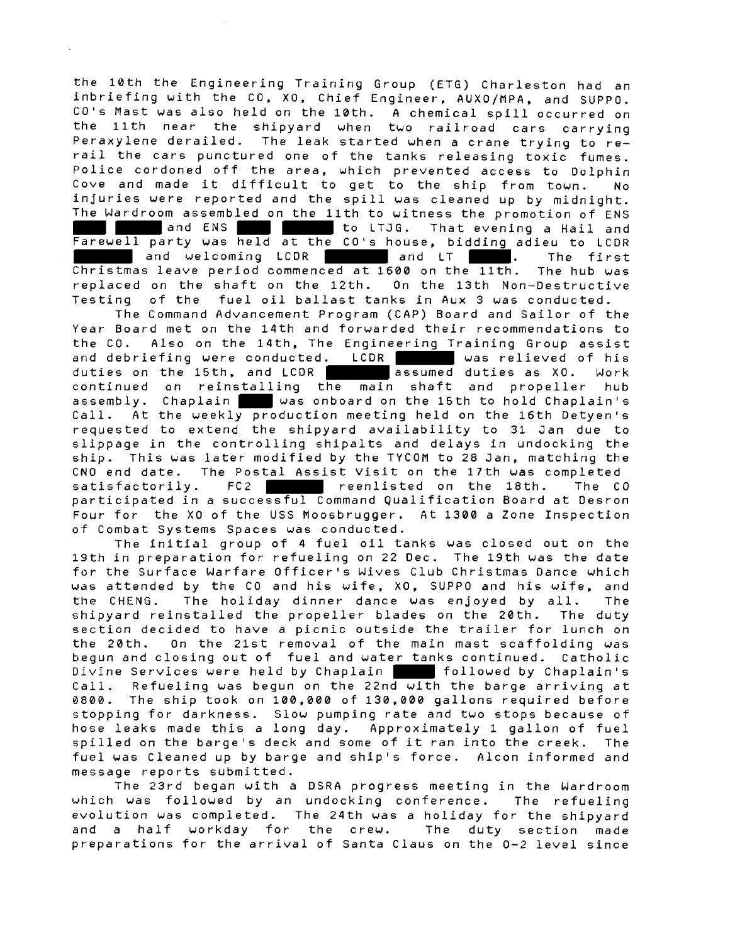the 10th the Engineering Training Group (ETG) Charleston had an inbriefing with the CO, XO, Chief Engineer, AUXO/MPA, and SUPPO. CO's Mast was also held on the 10th. **A** chemical spill occurred on the llth near the shipyard when two railroad cars carrying Peraxylene derailed. The leak started when a crane trying to rerail the cars punctured one of the tanks releasing toxic fumes. Police cordoned off the area, which prevented access to Dolphin Cove and made it difficult to get to the ship from town. No injuries were reported and the spill was cleaned up by midnight. The Wardroom assembled on the llth to witness the promotion of ENS and ENS **to LTJG.** That evening a Hail and Farewell party was held at the CO's house, bidding adieu to LCDR and welcoming LCDR and LT **.** The first Christmas leave period commenced at 1600 on the 11th. The hub was replaced on the shaft on the 12th. On the 13th Nan-Destructive Testing of the fuel oil ballast tanks in Aux 3 was conducted.

The Command Advancement Program (CAP) Board and Sailor of the Year Board met on the 14th and forwarded their recommendations to the CO. Also on the 14th, The Engineering Training Group assist and debriefing were conducted. LCDR was relieved of his duties on the 15th, and LCDR assumed duties as XO. Work continued on reinstalling the main shaft and propeller hub assembly. Chaplain was onboard on the 15th to hold Chaplain's Call. At the weekly production meeting held on the 16th Detyen's requested to extend the shipyard availability to 31 Jan due to slippage in the controlling shipalts and delays in undocking the ship. This was later modified by the TYCOM to 28 Jan, matching the CNO end date. The Postal Assist Visit on the 17th was completed satisfactorily. FC2 **least reenlisted** on the 18th. The CO participated in a successful Command Qualification Board at Desron Four for the XO of the USS Moosbrugger. At 1380 a Zone Inspection of Combat Systems Spaces was conducted.

The initial group of **4** fuel oil tanks was closed out on the 19th in preparation for refueling on 22 Dec. The 19th was the date for the Surface Warfare Officer's Wives Club Christmas Dance which was attended by the CO and his wife, XO, SUPPO and his wife, and the CHENG. The holiday dinner dance was enjoyed by all. The shipyard reinstalled the propeller blades on the 20th. The duty section decided to have a picnic outside the trailer for lunch on the 20th. On the 21st removal of the main mast scaffolding was begun and closing out of fuel and water tanks continued. Catholic Divine Services were held by Chaplain **followed by Chaplain's** Call. Refueling was begun on the 22nd with the barge arriving at 8800. The ship took on 100,800 of 130,000 gallons required before stopping for darkness. Slow pumping rate and two stops because of hose leaks made this a long day. Approximately 1 gallon of fuel spilled on the barge's deck and some of it ran into the creek. The fuel was Cleaned up by barge and ship's force. Alcon informed and message reports submitted.

The 23rd began with a DSRA progress meeting in the Wardroom which was followed by an undocking conference. The refueling evolution was completed. The 24th was a holiday for the shipyard and a half workday for the crew. The duty section made preparations for the arrival of Santa Claus on the 0-2 level since